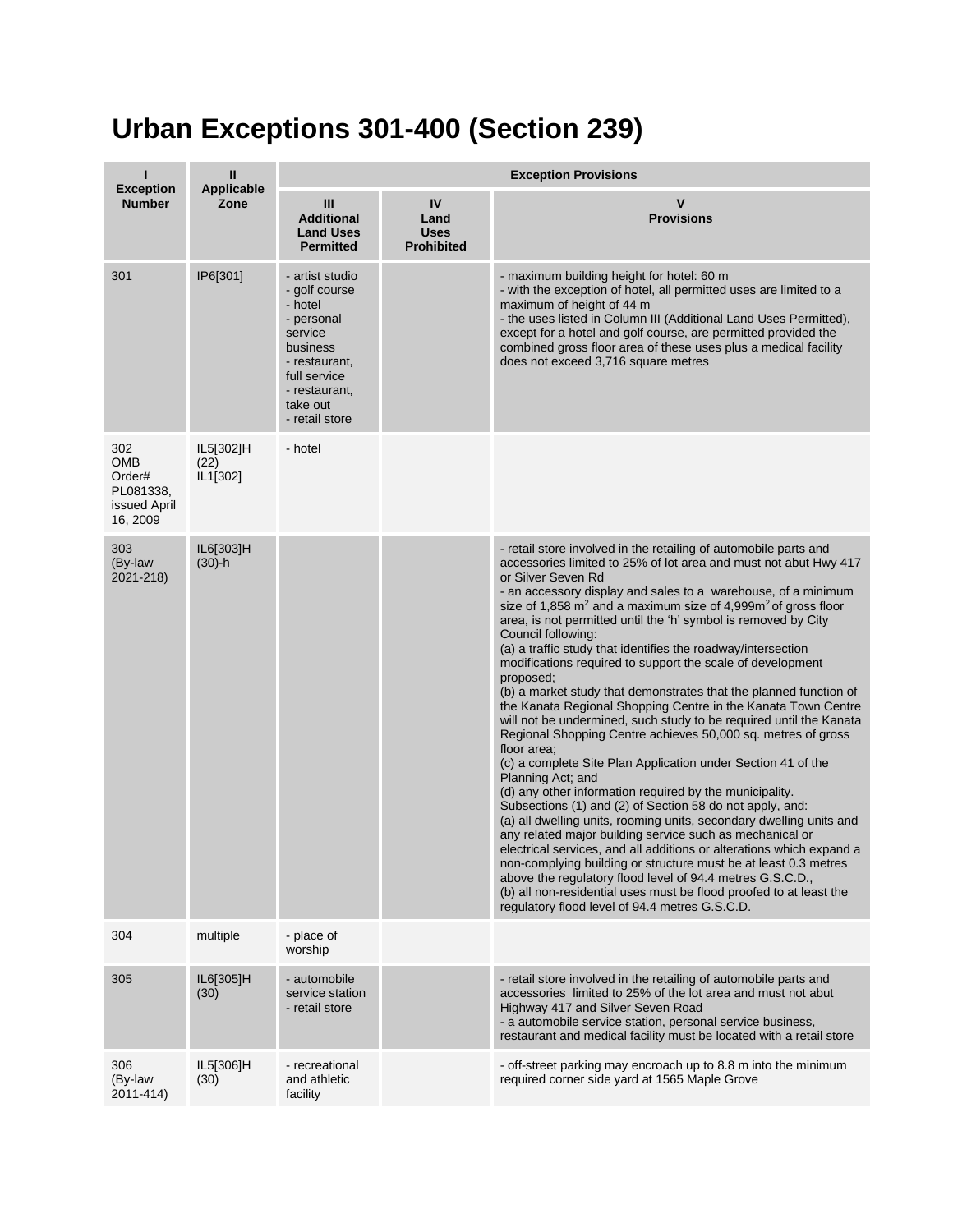## **Urban Exceptions 301-400 (Section 239)**

| п                                                             | Ш                             | <b>Exception Provisions</b>                                                                                                                                      |                                                |                                                                                                                                                                                                                                                                                                                                                                                                                                                                                                                                                                                                                                                                                                                                                                                                                                                                                                                                                                                                                                                                                                                                                                                                                                                                                                                                                                                                                                                                                                                  |  |  |
|---------------------------------------------------------------|-------------------------------|------------------------------------------------------------------------------------------------------------------------------------------------------------------|------------------------------------------------|------------------------------------------------------------------------------------------------------------------------------------------------------------------------------------------------------------------------------------------------------------------------------------------------------------------------------------------------------------------------------------------------------------------------------------------------------------------------------------------------------------------------------------------------------------------------------------------------------------------------------------------------------------------------------------------------------------------------------------------------------------------------------------------------------------------------------------------------------------------------------------------------------------------------------------------------------------------------------------------------------------------------------------------------------------------------------------------------------------------------------------------------------------------------------------------------------------------------------------------------------------------------------------------------------------------------------------------------------------------------------------------------------------------------------------------------------------------------------------------------------------------|--|--|
| <b>Exception</b><br><b>Number</b>                             | Applicable<br>Zone            | III<br><b>Additional</b><br><b>Land Uses</b><br><b>Permitted</b>                                                                                                 | IV<br>Land<br><b>Uses</b><br><b>Prohibited</b> | V<br><b>Provisions</b>                                                                                                                                                                                                                                                                                                                                                                                                                                                                                                                                                                                                                                                                                                                                                                                                                                                                                                                                                                                                                                                                                                                                                                                                                                                                                                                                                                                                                                                                                           |  |  |
| 301                                                           | IP6[301]                      | - artist studio<br>- golf course<br>- hotel<br>- personal<br>service<br>business<br>- restaurant,<br>full service<br>- restaurant,<br>take out<br>- retail store |                                                | - maximum building height for hotel: 60 m<br>- with the exception of hotel, all permitted uses are limited to a<br>maximum of height of 44 m<br>- the uses listed in Column III (Additional Land Uses Permitted),<br>except for a hotel and golf course, are permitted provided the<br>combined gross floor area of these uses plus a medical facility<br>does not exceed 3,716 square metres                                                                                                                                                                                                                                                                                                                                                                                                                                                                                                                                                                                                                                                                                                                                                                                                                                                                                                                                                                                                                                                                                                                    |  |  |
| 302<br>OMB<br>Order#<br>PL081338,<br>issued April<br>16, 2009 | IL5[302]H<br>(22)<br>IL1[302] | - hotel                                                                                                                                                          |                                                |                                                                                                                                                                                                                                                                                                                                                                                                                                                                                                                                                                                                                                                                                                                                                                                                                                                                                                                                                                                                                                                                                                                                                                                                                                                                                                                                                                                                                                                                                                                  |  |  |
| 303<br>(By-law<br>2021-218)                                   | IL6[303]H<br>$(30) - h$       |                                                                                                                                                                  |                                                | - retail store involved in the retailing of automobile parts and<br>accessories limited to 25% of lot area and must not abut Hwy 417<br>or Silver Seven Rd<br>- an accessory display and sales to a warehouse, of a minimum<br>size of 1,858 $m^2$ and a maximum size of 4,999 $m^2$ of gross floor<br>area, is not permitted until the 'h' symbol is removed by City<br>Council following:<br>(a) a traffic study that identifies the roadway/intersection<br>modifications required to support the scale of development<br>proposed;<br>(b) a market study that demonstrates that the planned function of<br>the Kanata Regional Shopping Centre in the Kanata Town Centre<br>will not be undermined, such study to be required until the Kanata<br>Regional Shopping Centre achieves 50,000 sq. metres of gross<br>floor area;<br>(c) a complete Site Plan Application under Section 41 of the<br>Planning Act; and<br>(d) any other information required by the municipality.<br>Subsections (1) and (2) of Section 58 do not apply, and:<br>(a) all dwelling units, rooming units, secondary dwelling units and<br>any related major building service such as mechanical or<br>electrical services, and all additions or alterations which expand a<br>non-complying building or structure must be at least 0.3 metres<br>above the regulatory flood level of 94.4 metres G.S.C.D.,<br>(b) all non-residential uses must be flood proofed to at least the<br>regulatory flood level of 94.4 metres G.S.C.D. |  |  |
| 304                                                           | multiple                      | - place of<br>worship                                                                                                                                            |                                                |                                                                                                                                                                                                                                                                                                                                                                                                                                                                                                                                                                                                                                                                                                                                                                                                                                                                                                                                                                                                                                                                                                                                                                                                                                                                                                                                                                                                                                                                                                                  |  |  |
| 305                                                           | IL6[305]H<br>(30)             | - automobile<br>service station<br>- retail store                                                                                                                |                                                | - retail store involved in the retailing of automobile parts and<br>accessories limited to 25% of the lot area and must not abut<br>Highway 417 and Silver Seven Road<br>- a automobile service station, personal service business,<br>restaurant and medical facility must be located with a retail store                                                                                                                                                                                                                                                                                                                                                                                                                                                                                                                                                                                                                                                                                                                                                                                                                                                                                                                                                                                                                                                                                                                                                                                                       |  |  |
| 306<br>(By-law<br>2011-414)                                   | IL5[306]H<br>(30)             | - recreational<br>and athletic<br>facility                                                                                                                       |                                                | - off-street parking may encroach up to 8.8 m into the minimum<br>required corner side yard at 1565 Maple Grove                                                                                                                                                                                                                                                                                                                                                                                                                                                                                                                                                                                                                                                                                                                                                                                                                                                                                                                                                                                                                                                                                                                                                                                                                                                                                                                                                                                                  |  |  |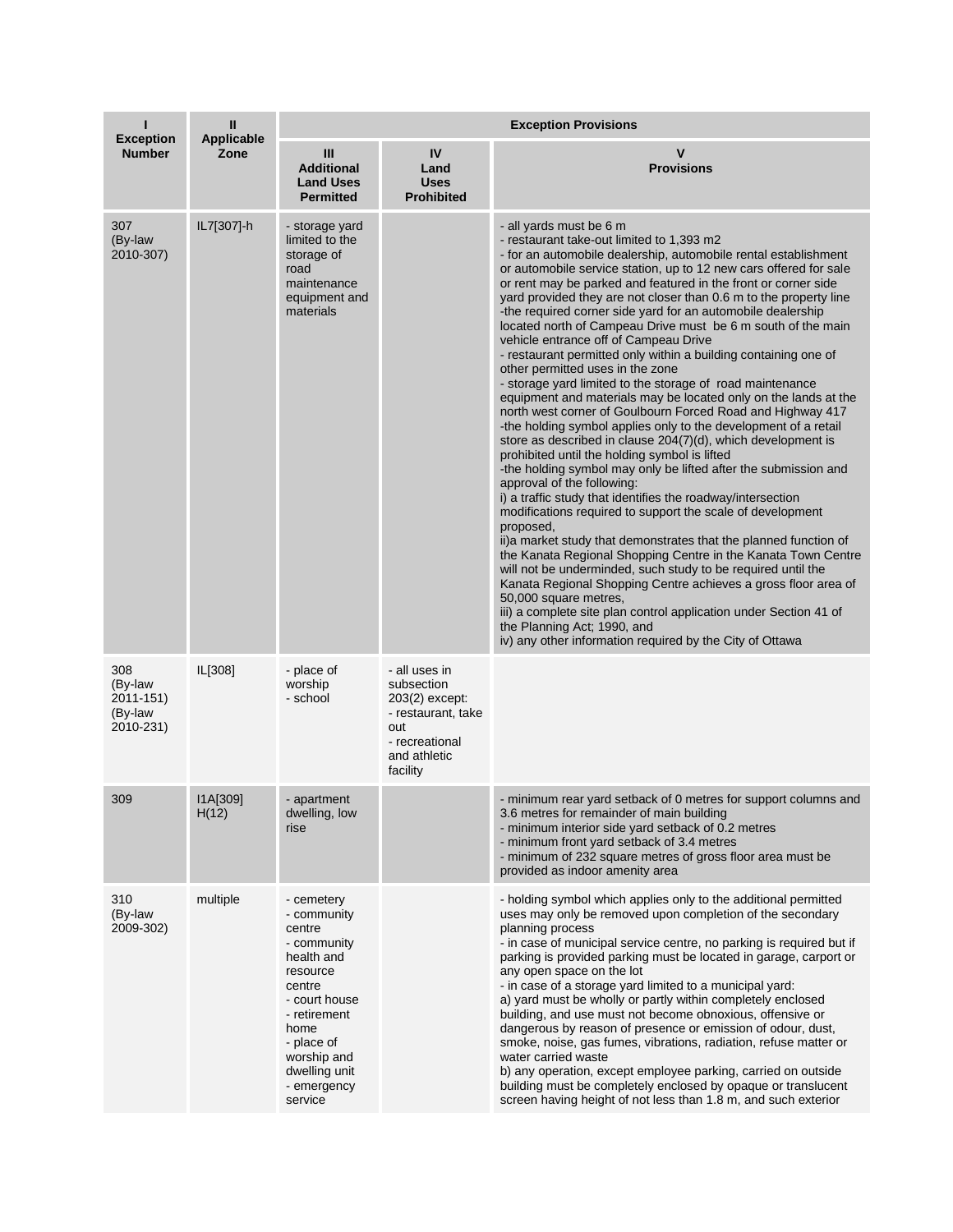| <b>Exception</b>                                    | Ш<br><b>Applicable</b> | <b>Exception Provisions</b>                                                                                                                                                                             |                                                                                                                          |                                                                                                                                                                                                                                                                                                                                                                                                                                                                                                                                                                                                                                                                                                                                                                                                                                                                                                                                                                                                                                                                                                                                                                                                                                                                                                                                                                                                                                                                                                                                                                                                                                                                                                                                  |  |
|-----------------------------------------------------|------------------------|---------------------------------------------------------------------------------------------------------------------------------------------------------------------------------------------------------|--------------------------------------------------------------------------------------------------------------------------|----------------------------------------------------------------------------------------------------------------------------------------------------------------------------------------------------------------------------------------------------------------------------------------------------------------------------------------------------------------------------------------------------------------------------------------------------------------------------------------------------------------------------------------------------------------------------------------------------------------------------------------------------------------------------------------------------------------------------------------------------------------------------------------------------------------------------------------------------------------------------------------------------------------------------------------------------------------------------------------------------------------------------------------------------------------------------------------------------------------------------------------------------------------------------------------------------------------------------------------------------------------------------------------------------------------------------------------------------------------------------------------------------------------------------------------------------------------------------------------------------------------------------------------------------------------------------------------------------------------------------------------------------------------------------------------------------------------------------------|--|
| <b>Number</b>                                       | Zone                   | Ш<br><b>Additional</b><br><b>Land Uses</b><br><b>Permitted</b>                                                                                                                                          | IV<br>Land<br><b>Uses</b><br><b>Prohibited</b>                                                                           | $\mathsf{v}$<br><b>Provisions</b>                                                                                                                                                                                                                                                                                                                                                                                                                                                                                                                                                                                                                                                                                                                                                                                                                                                                                                                                                                                                                                                                                                                                                                                                                                                                                                                                                                                                                                                                                                                                                                                                                                                                                                |  |
| 307<br>(By-law<br>2010-307)                         | IL7[307]-h             | - storage yard<br>limited to the<br>storage of<br>road<br>maintenance<br>equipment and<br>materials                                                                                                     |                                                                                                                          | - all yards must be 6 m<br>- restaurant take-out limited to 1,393 m2<br>- for an automobile dealership, automobile rental establishment<br>or automobile service station, up to 12 new cars offered for sale<br>or rent may be parked and featured in the front or corner side<br>yard provided they are not closer than 0.6 m to the property line<br>-the required corner side yard for an automobile dealership<br>located north of Campeau Drive must be 6 m south of the main<br>vehicle entrance off of Campeau Drive<br>- restaurant permitted only within a building containing one of<br>other permitted uses in the zone<br>- storage yard limited to the storage of road maintenance<br>equipment and materials may be located only on the lands at the<br>north west corner of Goulbourn Forced Road and Highway 417<br>-the holding symbol applies only to the development of a retail<br>store as described in clause 204(7)(d), which development is<br>prohibited until the holding symbol is lifted<br>-the holding symbol may only be lifted after the submission and<br>approval of the following:<br>i) a traffic study that identifies the roadway/intersection<br>modifications required to support the scale of development<br>proposed.<br>ii) a market study that demonstrates that the planned function of<br>the Kanata Regional Shopping Centre in the Kanata Town Centre<br>will not be underminded, such study to be required until the<br>Kanata Regional Shopping Centre achieves a gross floor area of<br>50,000 square metres,<br>iii) a complete site plan control application under Section 41 of<br>the Planning Act; 1990, and<br>iv) any other information required by the City of Ottawa |  |
| 308<br>(By-law<br>2011-151)<br>(By-law<br>2010-231) | IL[308]                | - place of<br>worship<br>- school                                                                                                                                                                       | - all uses in<br>subsection<br>203(2) except:<br>- restaurant, take<br>out<br>- recreational<br>and athletic<br>facility |                                                                                                                                                                                                                                                                                                                                                                                                                                                                                                                                                                                                                                                                                                                                                                                                                                                                                                                                                                                                                                                                                                                                                                                                                                                                                                                                                                                                                                                                                                                                                                                                                                                                                                                                  |  |
| 309                                                 | I1A[309]<br>H(12)      | - apartment<br>dwelling, low<br>rise                                                                                                                                                                    |                                                                                                                          | - minimum rear yard setback of 0 metres for support columns and<br>3.6 metres for remainder of main building<br>- minimum interior side yard setback of 0.2 metres<br>- minimum front yard setback of 3.4 metres<br>- minimum of 232 square metres of gross floor area must be<br>provided as indoor amenity area                                                                                                                                                                                                                                                                                                                                                                                                                                                                                                                                                                                                                                                                                                                                                                                                                                                                                                                                                                                                                                                                                                                                                                                                                                                                                                                                                                                                                |  |
| 310<br>(By-law<br>2009-302)                         | multiple               | - cemetery<br>- community<br>centre<br>- community<br>health and<br>resource<br>centre<br>- court house<br>- retirement<br>home<br>- place of<br>worship and<br>dwelling unit<br>- emergency<br>service |                                                                                                                          | - holding symbol which applies only to the additional permitted<br>uses may only be removed upon completion of the secondary<br>planning process<br>- in case of municipal service centre, no parking is required but if<br>parking is provided parking must be located in garage, carport or<br>any open space on the lot<br>- in case of a storage yard limited to a municipal yard:<br>a) yard must be wholly or partly within completely enclosed<br>building, and use must not become obnoxious, offensive or<br>dangerous by reason of presence or emission of odour, dust,<br>smoke, noise, gas fumes, vibrations, radiation, refuse matter or<br>water carried waste<br>b) any operation, except employee parking, carried on outside<br>building must be completely enclosed by opaque or translucent<br>screen having height of not less than 1.8 m, and such exterior                                                                                                                                                                                                                                                                                                                                                                                                                                                                                                                                                                                                                                                                                                                                                                                                                                                 |  |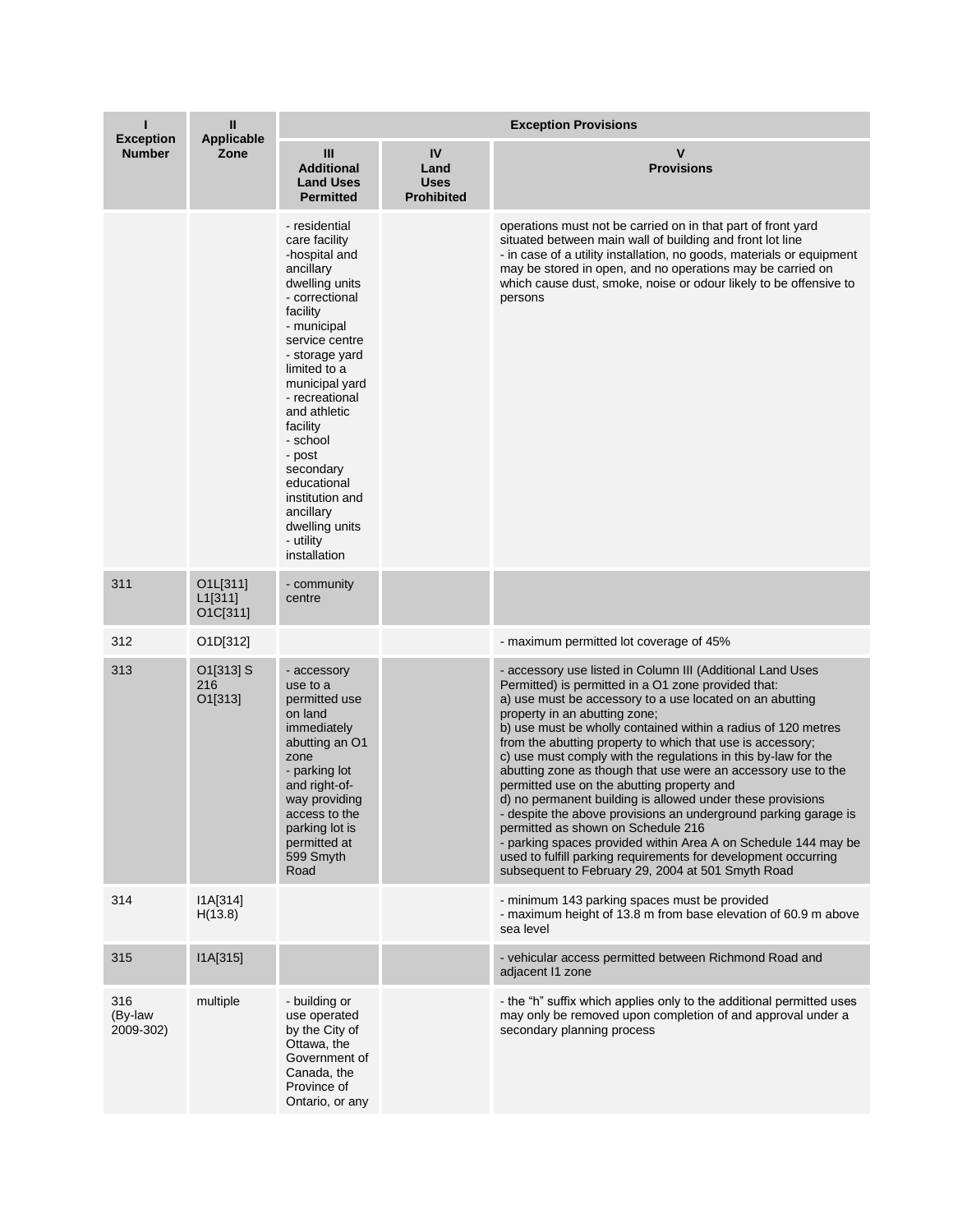|                                   | $\mathbf{II}$                   | <b>Exception Provisions</b>                                                                                                                                                                                                                                                                                                                                                      |                                                |                                                                                                                                                                                                                                                                                                                                                                                                                                                                                                                                                                                                                                                                                                                                                                                                                                                                                                |  |  |
|-----------------------------------|---------------------------------|----------------------------------------------------------------------------------------------------------------------------------------------------------------------------------------------------------------------------------------------------------------------------------------------------------------------------------------------------------------------------------|------------------------------------------------|------------------------------------------------------------------------------------------------------------------------------------------------------------------------------------------------------------------------------------------------------------------------------------------------------------------------------------------------------------------------------------------------------------------------------------------------------------------------------------------------------------------------------------------------------------------------------------------------------------------------------------------------------------------------------------------------------------------------------------------------------------------------------------------------------------------------------------------------------------------------------------------------|--|--|
| <b>Exception</b><br><b>Number</b> | Applicable<br>Zone              | III<br><b>Additional</b><br><b>Land Uses</b><br><b>Permitted</b>                                                                                                                                                                                                                                                                                                                 | IV<br>Land<br><b>Uses</b><br><b>Prohibited</b> | $\mathbf v$<br><b>Provisions</b>                                                                                                                                                                                                                                                                                                                                                                                                                                                                                                                                                                                                                                                                                                                                                                                                                                                               |  |  |
|                                   |                                 | - residential<br>care facility<br>-hospital and<br>ancillary<br>dwelling units<br>- correctional<br>facility<br>- municipal<br>service centre<br>- storage yard<br>limited to a<br>municipal yard<br>- recreational<br>and athletic<br>facility<br>- school<br>- post<br>secondary<br>educational<br>institution and<br>ancillary<br>dwelling units<br>- utility<br>installation |                                                | operations must not be carried on in that part of front yard<br>situated between main wall of building and front lot line<br>- in case of a utility installation, no goods, materials or equipment<br>may be stored in open, and no operations may be carried on<br>which cause dust, smoke, noise or odour likely to be offensive to<br>persons                                                                                                                                                                                                                                                                                                                                                                                                                                                                                                                                               |  |  |
| 311                               | O1L[311]<br>L1[311]<br>O1C[311] | - community<br>centre                                                                                                                                                                                                                                                                                                                                                            |                                                |                                                                                                                                                                                                                                                                                                                                                                                                                                                                                                                                                                                                                                                                                                                                                                                                                                                                                                |  |  |
| 312                               | O1D[312]                        |                                                                                                                                                                                                                                                                                                                                                                                  |                                                | - maximum permitted lot coverage of 45%                                                                                                                                                                                                                                                                                                                                                                                                                                                                                                                                                                                                                                                                                                                                                                                                                                                        |  |  |
| 313                               | O1[313] S<br>216<br>O1[313]     | - accessory<br>use to a<br>permitted use<br>on land<br>immediately<br>abutting an O1<br>zone<br>- parking lot<br>and right-of-<br>way providing<br>access to the<br>parking lot is<br>permitted at<br>599 Smyth<br>Road                                                                                                                                                          |                                                | - accessory use listed in Column III (Additional Land Uses<br>Permitted) is permitted in a O1 zone provided that:<br>a) use must be accessory to a use located on an abutting<br>property in an abutting zone;<br>b) use must be wholly contained within a radius of 120 metres<br>from the abutting property to which that use is accessory;<br>c) use must comply with the regulations in this by-law for the<br>abutting zone as though that use were an accessory use to the<br>permitted use on the abutting property and<br>d) no permanent building is allowed under these provisions<br>- despite the above provisions an underground parking garage is<br>permitted as shown on Schedule 216<br>- parking spaces provided within Area A on Schedule 144 may be<br>used to fulfill parking requirements for development occurring<br>subsequent to February 29, 2004 at 501 Smyth Road |  |  |
| 314                               | I1A[314]<br>H(13.8)             |                                                                                                                                                                                                                                                                                                                                                                                  |                                                | - minimum 143 parking spaces must be provided<br>- maximum height of 13.8 m from base elevation of 60.9 m above<br>sea level                                                                                                                                                                                                                                                                                                                                                                                                                                                                                                                                                                                                                                                                                                                                                                   |  |  |
| 315                               | I1A[315]                        |                                                                                                                                                                                                                                                                                                                                                                                  |                                                | - vehicular access permitted between Richmond Road and<br>adjacent 11 zone                                                                                                                                                                                                                                                                                                                                                                                                                                                                                                                                                                                                                                                                                                                                                                                                                     |  |  |
| 316<br>(By-law<br>2009-302)       | multiple                        | - building or<br>use operated<br>by the City of<br>Ottawa, the<br>Government of<br>Canada, the<br>Province of<br>Ontario, or any                                                                                                                                                                                                                                                 |                                                | - the "h" suffix which applies only to the additional permitted uses<br>may only be removed upon completion of and approval under a<br>secondary planning process                                                                                                                                                                                                                                                                                                                                                                                                                                                                                                                                                                                                                                                                                                                              |  |  |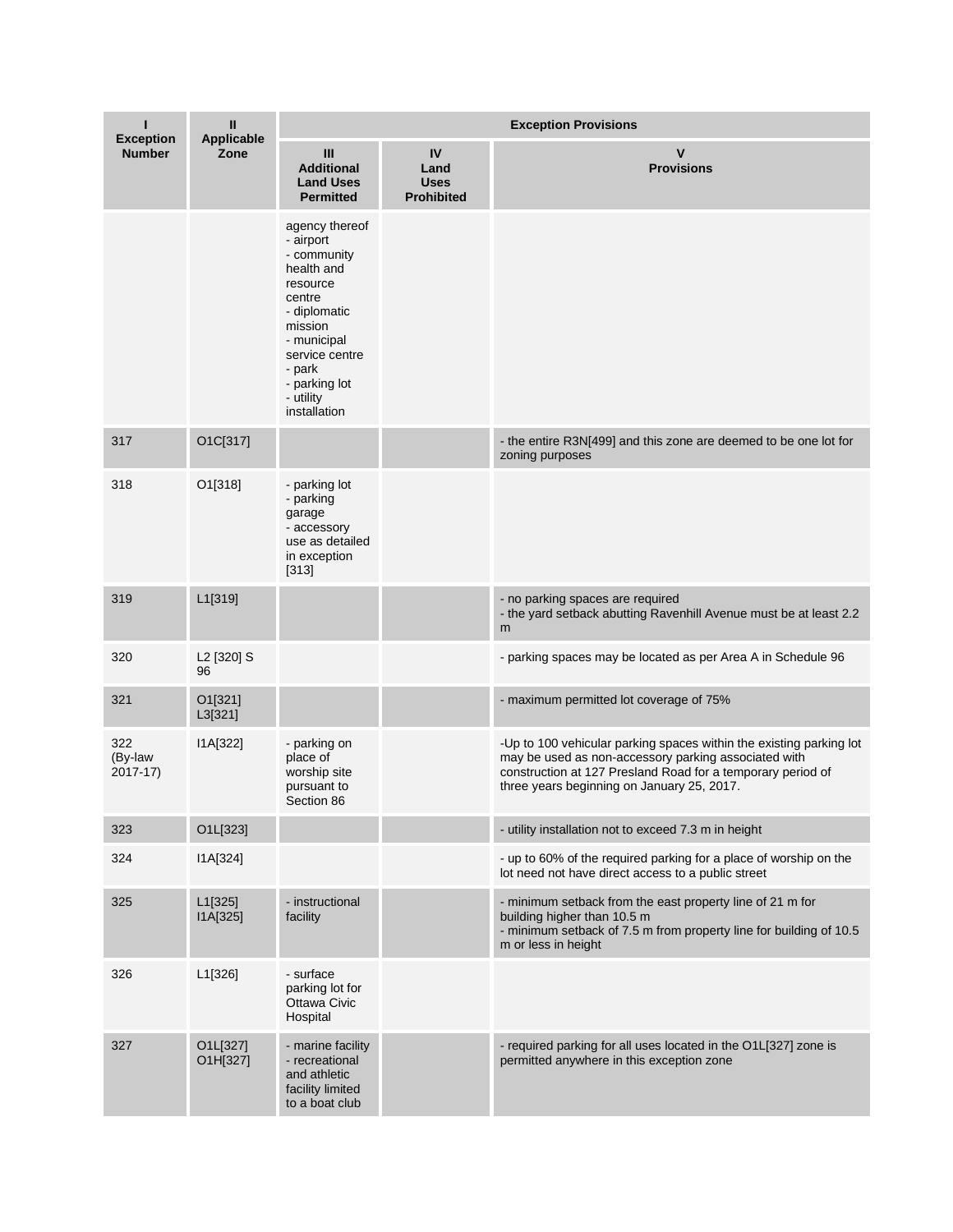|                                   | Ш                            | <b>Exception Provisions</b>                                                                                                                                                                        |                                                |                                                                                                                                                                                                                                          |  |
|-----------------------------------|------------------------------|----------------------------------------------------------------------------------------------------------------------------------------------------------------------------------------------------|------------------------------------------------|------------------------------------------------------------------------------------------------------------------------------------------------------------------------------------------------------------------------------------------|--|
| <b>Exception</b><br><b>Number</b> | <b>Applicable</b><br>Zone    | III<br><b>Additional</b><br><b>Land Uses</b><br><b>Permitted</b>                                                                                                                                   | IV<br>Land<br><b>Uses</b><br><b>Prohibited</b> | $\mathsf{V}$<br><b>Provisions</b>                                                                                                                                                                                                        |  |
|                                   |                              | agency thereof<br>- airport<br>- community<br>health and<br>resource<br>centre<br>- diplomatic<br>mission<br>- municipal<br>service centre<br>- park<br>- parking lot<br>- utility<br>installation |                                                |                                                                                                                                                                                                                                          |  |
| 317                               | O1C[317]                     |                                                                                                                                                                                                    |                                                | - the entire R3N[499] and this zone are deemed to be one lot for<br>zoning purposes                                                                                                                                                      |  |
| 318                               | O1[318]                      | - parking lot<br>- parking<br>garage<br>- accessory<br>use as detailed<br>in exception<br>$[313]$                                                                                                  |                                                |                                                                                                                                                                                                                                          |  |
| 319                               | L1[319]                      |                                                                                                                                                                                                    |                                                | - no parking spaces are required<br>- the yard setback abutting Ravenhill Avenue must be at least 2.2<br>m                                                                                                                               |  |
| 320                               | L <sub>2</sub> [320] S<br>96 |                                                                                                                                                                                                    |                                                | - parking spaces may be located as per Area A in Schedule 96                                                                                                                                                                             |  |
| 321                               | O1[321]<br>L3[321]           |                                                                                                                                                                                                    |                                                | - maximum permitted lot coverage of 75%                                                                                                                                                                                                  |  |
| 322<br>(By-law<br>$2017 - 17$     | IA[322]                      | - parking on<br>place of<br>worship site<br>pursuant to<br>Section 86                                                                                                                              |                                                | -Up to 100 vehicular parking spaces within the existing parking lot<br>may be used as non-accessory parking associated with<br>construction at 127 Presland Road for a temporary period of<br>three years beginning on January 25, 2017. |  |
| 323                               | O1L[323]                     |                                                                                                                                                                                                    |                                                | - utility installation not to exceed 7.3 m in height                                                                                                                                                                                     |  |
| 324                               | I1A[324]                     |                                                                                                                                                                                                    |                                                | - up to 60% of the required parking for a place of worship on the<br>lot need not have direct access to a public street                                                                                                                  |  |
| 325                               | L1[325]<br>I1A[325]          | - instructional<br>facility                                                                                                                                                                        |                                                | - minimum setback from the east property line of 21 m for<br>building higher than 10.5 m<br>- minimum setback of 7.5 m from property line for building of 10.5<br>m or less in height                                                    |  |
| 326                               | L1[326]                      | - surface<br>parking lot for<br>Ottawa Civic<br>Hospital                                                                                                                                           |                                                |                                                                                                                                                                                                                                          |  |
| 327                               | O1L[327]<br>O1H[327]         | - marine facility<br>- recreational<br>and athletic<br>facility limited<br>to a boat club                                                                                                          |                                                | - required parking for all uses located in the O1L[327] zone is<br>permitted anywhere in this exception zone                                                                                                                             |  |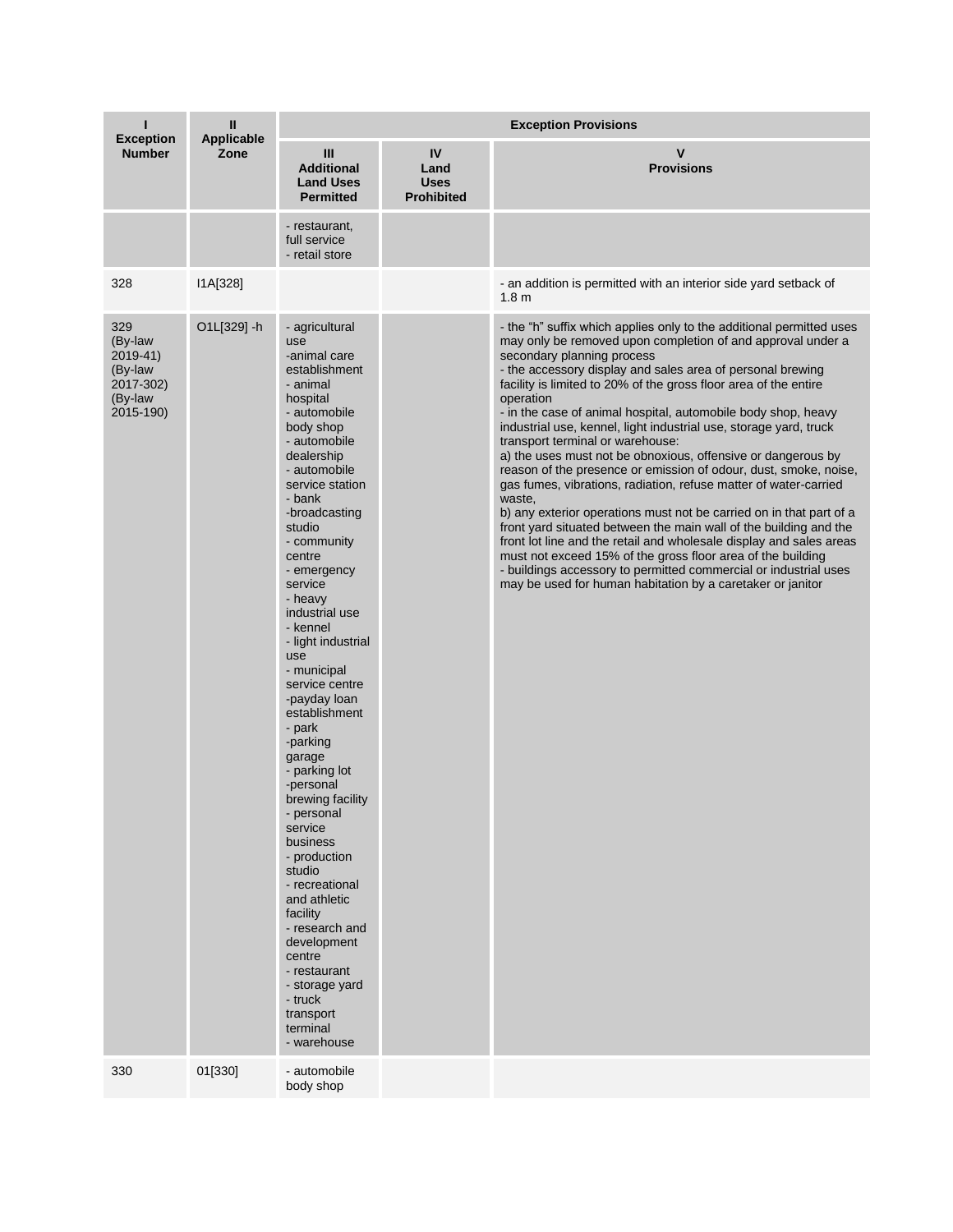| <b>Exception</b>                                                           | Ш<br>Applicable | <b>Exception Provisions</b>                                                                                                                                                                                                                                                                                                                                                                                                                                                                                                                                                                                                                                                                                                                 |                                                |                                                                                                                                                                                                                                                                                                                                                                                                                                                                                                                                                                                                                                                                                                                                                                                                                                                                                                                                                                                                                                                                                                                                  |  |  |
|----------------------------------------------------------------------------|-----------------|---------------------------------------------------------------------------------------------------------------------------------------------------------------------------------------------------------------------------------------------------------------------------------------------------------------------------------------------------------------------------------------------------------------------------------------------------------------------------------------------------------------------------------------------------------------------------------------------------------------------------------------------------------------------------------------------------------------------------------------------|------------------------------------------------|----------------------------------------------------------------------------------------------------------------------------------------------------------------------------------------------------------------------------------------------------------------------------------------------------------------------------------------------------------------------------------------------------------------------------------------------------------------------------------------------------------------------------------------------------------------------------------------------------------------------------------------------------------------------------------------------------------------------------------------------------------------------------------------------------------------------------------------------------------------------------------------------------------------------------------------------------------------------------------------------------------------------------------------------------------------------------------------------------------------------------------|--|--|
| <b>Number</b>                                                              | Zone            | Ш<br><b>Additional</b><br><b>Land Uses</b><br><b>Permitted</b>                                                                                                                                                                                                                                                                                                                                                                                                                                                                                                                                                                                                                                                                              | IV<br>Land<br><b>Uses</b><br><b>Prohibited</b> | $\mathbf v$<br><b>Provisions</b>                                                                                                                                                                                                                                                                                                                                                                                                                                                                                                                                                                                                                                                                                                                                                                                                                                                                                                                                                                                                                                                                                                 |  |  |
|                                                                            |                 | - restaurant,<br>full service<br>- retail store                                                                                                                                                                                                                                                                                                                                                                                                                                                                                                                                                                                                                                                                                             |                                                |                                                                                                                                                                                                                                                                                                                                                                                                                                                                                                                                                                                                                                                                                                                                                                                                                                                                                                                                                                                                                                                                                                                                  |  |  |
| 328                                                                        | I1A[328]        |                                                                                                                                                                                                                                                                                                                                                                                                                                                                                                                                                                                                                                                                                                                                             |                                                | - an addition is permitted with an interior side yard setback of<br>1.8 <sub>m</sub>                                                                                                                                                                                                                                                                                                                                                                                                                                                                                                                                                                                                                                                                                                                                                                                                                                                                                                                                                                                                                                             |  |  |
| 329<br>(By-law<br>2019-41)<br>(By-law<br>2017-302)<br>(By-law<br>2015-190) | O1L[329] -h     | - agricultural<br>use<br>-animal care<br>establishment<br>- animal<br>hospital<br>- automobile<br>body shop<br>- automobile<br>dealership<br>- automobile<br>service station<br>- bank<br>-broadcasting<br>studio<br>- community<br>centre<br>- emergency<br>service<br>- heavy<br>industrial use<br>- kennel<br>- light industrial<br>use<br>- municipal<br>service centre<br>-payday loan<br>establishment<br>- park<br>-parking<br>garage<br>- parking lot<br>-personal<br>brewing facility<br>- personal<br>service<br>business<br>- production<br>studio<br>- recreational<br>and athletic<br>facility<br>- research and<br>development<br>centre<br>- restaurant<br>- storage yard<br>- truck<br>transport<br>terminal<br>- warehouse |                                                | - the "h" suffix which applies only to the additional permitted uses<br>may only be removed upon completion of and approval under a<br>secondary planning process<br>- the accessory display and sales area of personal brewing<br>facility is limited to 20% of the gross floor area of the entire<br>operation<br>- in the case of animal hospital, automobile body shop, heavy<br>industrial use, kennel, light industrial use, storage yard, truck<br>transport terminal or warehouse:<br>a) the uses must not be obnoxious, offensive or dangerous by<br>reason of the presence or emission of odour, dust, smoke, noise,<br>gas fumes, vibrations, radiation, refuse matter of water-carried<br>waste,<br>b) any exterior operations must not be carried on in that part of a<br>front yard situated between the main wall of the building and the<br>front lot line and the retail and wholesale display and sales areas<br>must not exceed 15% of the gross floor area of the building<br>- buildings accessory to permitted commercial or industrial uses<br>may be used for human habitation by a caretaker or janitor |  |  |
| 330                                                                        | 01[330]         | - automobile<br>body shop                                                                                                                                                                                                                                                                                                                                                                                                                                                                                                                                                                                                                                                                                                                   |                                                |                                                                                                                                                                                                                                                                                                                                                                                                                                                                                                                                                                                                                                                                                                                                                                                                                                                                                                                                                                                                                                                                                                                                  |  |  |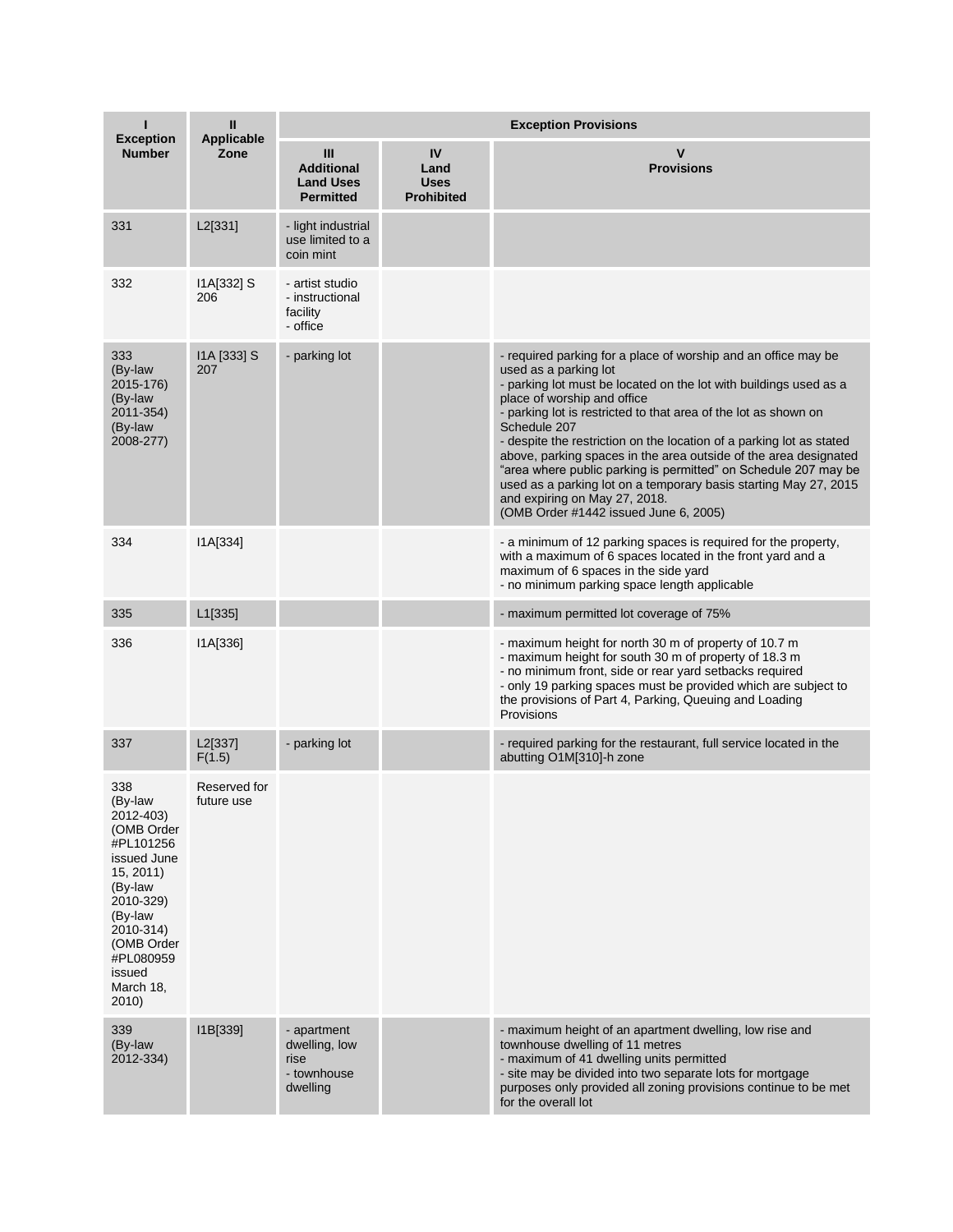| <b>Exception</b>                                                                                                                                                                             | Ш<br><b>Applicable</b>     | <b>Exception Provisions</b>                                     |                                                |                                                                                                                                                                                                                                                                                                                                                                                                                                                                                                                                                                                                                                             |  |  |
|----------------------------------------------------------------------------------------------------------------------------------------------------------------------------------------------|----------------------------|-----------------------------------------------------------------|------------------------------------------------|---------------------------------------------------------------------------------------------------------------------------------------------------------------------------------------------------------------------------------------------------------------------------------------------------------------------------------------------------------------------------------------------------------------------------------------------------------------------------------------------------------------------------------------------------------------------------------------------------------------------------------------------|--|--|
| <b>Number</b>                                                                                                                                                                                | Zone                       | Ш<br><b>Additional</b><br><b>Land Uses</b><br><b>Permitted</b>  | IV<br>Land<br><b>Uses</b><br><b>Prohibited</b> | $\mathsf{V}$<br><b>Provisions</b>                                                                                                                                                                                                                                                                                                                                                                                                                                                                                                                                                                                                           |  |  |
| 331                                                                                                                                                                                          | L2[331]                    | - light industrial<br>use limited to a<br>coin mint             |                                                |                                                                                                                                                                                                                                                                                                                                                                                                                                                                                                                                                                                                                                             |  |  |
| 332                                                                                                                                                                                          | $IA[332]$ S<br>206         | - artist studio<br>- instructional<br>facility<br>- office      |                                                |                                                                                                                                                                                                                                                                                                                                                                                                                                                                                                                                                                                                                                             |  |  |
| 333<br>(By-law<br>2015-176)<br>(By-law<br>2011-354)<br>(By-law<br>2008-277)                                                                                                                  | I1A [333] S<br>207         | - parking lot                                                   |                                                | - required parking for a place of worship and an office may be<br>used as a parking lot<br>- parking lot must be located on the lot with buildings used as a<br>place of worship and office<br>- parking lot is restricted to that area of the lot as shown on<br>Schedule 207<br>- despite the restriction on the location of a parking lot as stated<br>above, parking spaces in the area outside of the area designated<br>"area where public parking is permitted" on Schedule 207 may be<br>used as a parking lot on a temporary basis starting May 27, 2015<br>and expiring on May 27, 2018.<br>(OMB Order #1442 issued June 6, 2005) |  |  |
| 334                                                                                                                                                                                          | I1A[334]                   |                                                                 |                                                | - a minimum of 12 parking spaces is required for the property,<br>with a maximum of 6 spaces located in the front yard and a<br>maximum of 6 spaces in the side yard<br>- no minimum parking space length applicable                                                                                                                                                                                                                                                                                                                                                                                                                        |  |  |
| 335                                                                                                                                                                                          | L <sub>1</sub> [335]       |                                                                 |                                                | - maximum permitted lot coverage of 75%                                                                                                                                                                                                                                                                                                                                                                                                                                                                                                                                                                                                     |  |  |
| 336                                                                                                                                                                                          | IA[336]                    |                                                                 |                                                | - maximum height for north 30 m of property of 10.7 m<br>- maximum height for south 30 m of property of 18.3 m<br>- no minimum front, side or rear yard setbacks required<br>- only 19 parking spaces must be provided which are subject to<br>the provisions of Part 4, Parking, Queuing and Loading<br>Provisions                                                                                                                                                                                                                                                                                                                         |  |  |
| 337                                                                                                                                                                                          | L2[337]<br>F(1.5)          | - parking lot                                                   |                                                | - required parking for the restaurant, full service located in the<br>abutting O1M[310]-h zone                                                                                                                                                                                                                                                                                                                                                                                                                                                                                                                                              |  |  |
| 338<br>(By-law<br>2012-403)<br>(OMB Order<br>#PL101256<br>issued June<br>15, 2011<br>(By-law<br>2010-329)<br>(By-law<br>2010-314)<br>(OMB Order<br>#PL080959<br>issued<br>March 18,<br>2010) | Reserved for<br>future use |                                                                 |                                                |                                                                                                                                                                                                                                                                                                                                                                                                                                                                                                                                                                                                                                             |  |  |
| 339<br>(By-law<br>2012-334)                                                                                                                                                                  | I1B[339]                   | - apartment<br>dwelling, low<br>rise<br>- townhouse<br>dwelling |                                                | - maximum height of an apartment dwelling, low rise and<br>townhouse dwelling of 11 metres<br>- maximum of 41 dwelling units permitted<br>- site may be divided into two separate lots for mortgage<br>purposes only provided all zoning provisions continue to be met<br>for the overall lot                                                                                                                                                                                                                                                                                                                                               |  |  |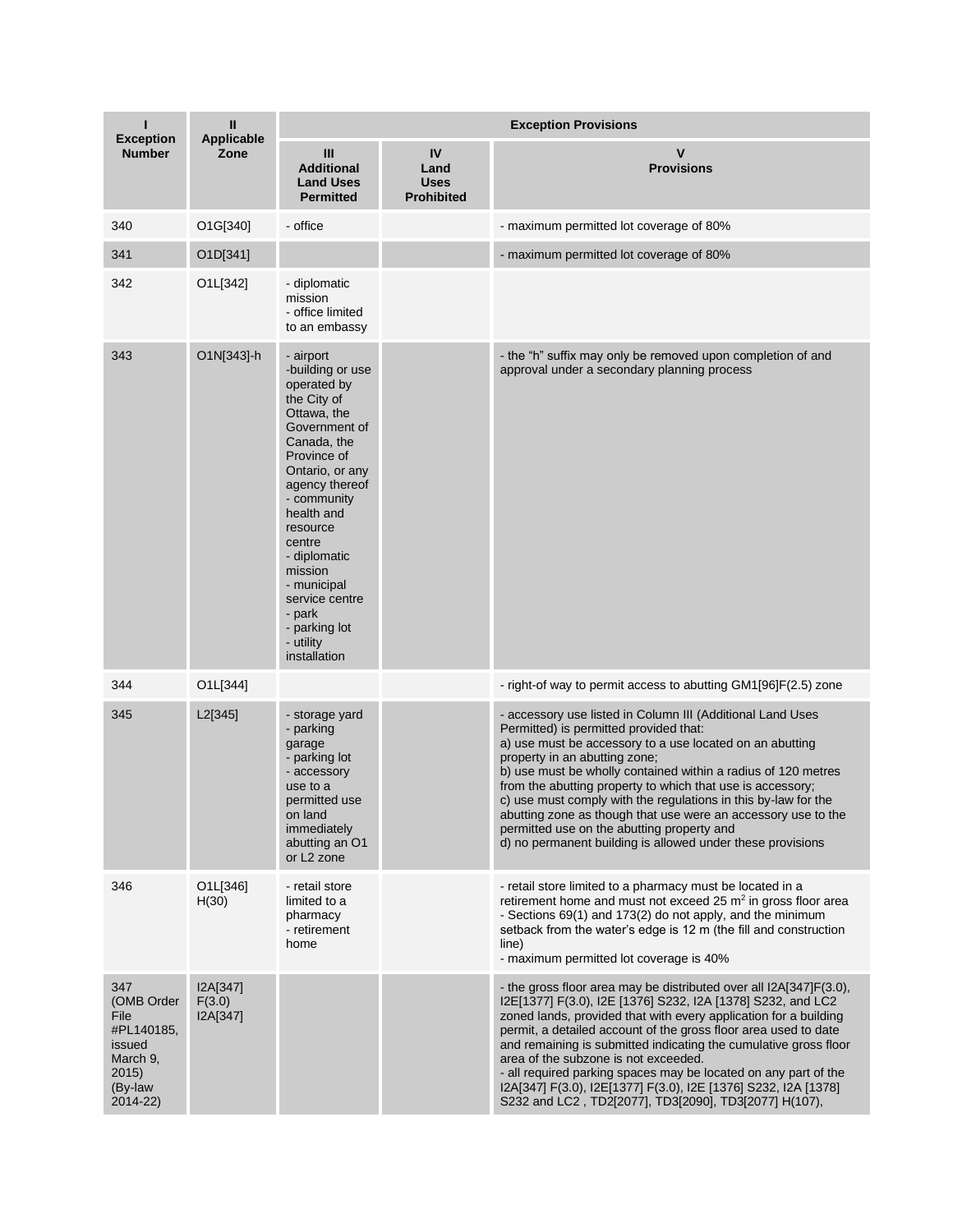| <b>Exception</b>                                                                              | Ш<br><b>Applicable</b>         | <b>Exception Provisions</b>                                                                                                                                                                                                                                                                                                           |                                                |                                                                                                                                                                                                                                                                                                                                                                                                                                                                                                                                                                                    |  |  |
|-----------------------------------------------------------------------------------------------|--------------------------------|---------------------------------------------------------------------------------------------------------------------------------------------------------------------------------------------------------------------------------------------------------------------------------------------------------------------------------------|------------------------------------------------|------------------------------------------------------------------------------------------------------------------------------------------------------------------------------------------------------------------------------------------------------------------------------------------------------------------------------------------------------------------------------------------------------------------------------------------------------------------------------------------------------------------------------------------------------------------------------------|--|--|
| <b>Number</b>                                                                                 | Zone                           | Ш<br><b>Additional</b><br><b>Land Uses</b><br><b>Permitted</b>                                                                                                                                                                                                                                                                        | IV<br>Land<br><b>Uses</b><br><b>Prohibited</b> | $\mathsf{v}$<br><b>Provisions</b>                                                                                                                                                                                                                                                                                                                                                                                                                                                                                                                                                  |  |  |
| 340                                                                                           | O1G[340]                       | - office                                                                                                                                                                                                                                                                                                                              |                                                | - maximum permitted lot coverage of 80%                                                                                                                                                                                                                                                                                                                                                                                                                                                                                                                                            |  |  |
| 341                                                                                           | O1D[341]                       |                                                                                                                                                                                                                                                                                                                                       |                                                | - maximum permitted lot coverage of 80%                                                                                                                                                                                                                                                                                                                                                                                                                                                                                                                                            |  |  |
| 342                                                                                           | O1L[342]                       | - diplomatic<br>mission<br>- office limited<br>to an embassy                                                                                                                                                                                                                                                                          |                                                |                                                                                                                                                                                                                                                                                                                                                                                                                                                                                                                                                                                    |  |  |
| 343                                                                                           | O1N[343]-h                     | - airport<br>-building or use<br>operated by<br>the City of<br>Ottawa, the<br>Government of<br>Canada, the<br>Province of<br>Ontario, or any<br>agency thereof<br>- community<br>health and<br>resource<br>centre<br>- diplomatic<br>mission<br>- municipal<br>service centre<br>- park<br>- parking lot<br>- utility<br>installation |                                                | - the "h" suffix may only be removed upon completion of and<br>approval under a secondary planning process                                                                                                                                                                                                                                                                                                                                                                                                                                                                         |  |  |
| 344                                                                                           | O1L[344]                       |                                                                                                                                                                                                                                                                                                                                       |                                                | - right-of way to permit access to abutting GM1[96]F(2.5) zone                                                                                                                                                                                                                                                                                                                                                                                                                                                                                                                     |  |  |
| 345                                                                                           | L2[345]                        | - storage yard<br>- parking<br>garage<br>- parking lot<br>- accessory<br>use to a<br>permitted use<br>on land<br>immediately<br>abutting an O1<br>or L <sub>2</sub> zone                                                                                                                                                              |                                                | - accessory use listed in Column III (Additional Land Uses<br>Permitted) is permitted provided that:<br>a) use must be accessory to a use located on an abutting<br>property in an abutting zone;<br>b) use must be wholly contained within a radius of 120 metres<br>from the abutting property to which that use is accessory;<br>c) use must comply with the regulations in this by-law for the<br>abutting zone as though that use were an accessory use to the<br>permitted use on the abutting property and<br>d) no permanent building is allowed under these provisions    |  |  |
| 346                                                                                           | O1L[346]<br>H(30)              | - retail store<br>limited to a<br>pharmacy<br>- retirement<br>home                                                                                                                                                                                                                                                                    |                                                | - retail store limited to a pharmacy must be located in a<br>retirement home and must not exceed 25 $m2$ in gross floor area<br>- Sections 69(1) and 173(2) do not apply, and the minimum<br>setback from the water's edge is 12 m (the fill and construction<br>line)<br>- maximum permitted lot coverage is 40%                                                                                                                                                                                                                                                                  |  |  |
| 347<br>(OMB Order<br>File<br>#PL140185,<br>issued<br>March 9,<br>2015)<br>(By-law<br>2014-22) | I2A[347]<br>F(3.0)<br>I2A[347] |                                                                                                                                                                                                                                                                                                                                       |                                                | - the gross floor area may be distributed over all I2A[347]F(3.0),<br>I2E[1377] F(3.0), I2E [1376] S232, I2A [1378] S232, and LC2<br>zoned lands, provided that with every application for a building<br>permit, a detailed account of the gross floor area used to date<br>and remaining is submitted indicating the cumulative gross floor<br>area of the subzone is not exceeded.<br>- all required parking spaces may be located on any part of the<br>I2A[347] F(3.0), I2E[1377] F(3.0), I2E [1376] S232, I2A [1378]<br>S232 and LC2, TD2[2077], TD3[2090], TD3[2077] H(107), |  |  |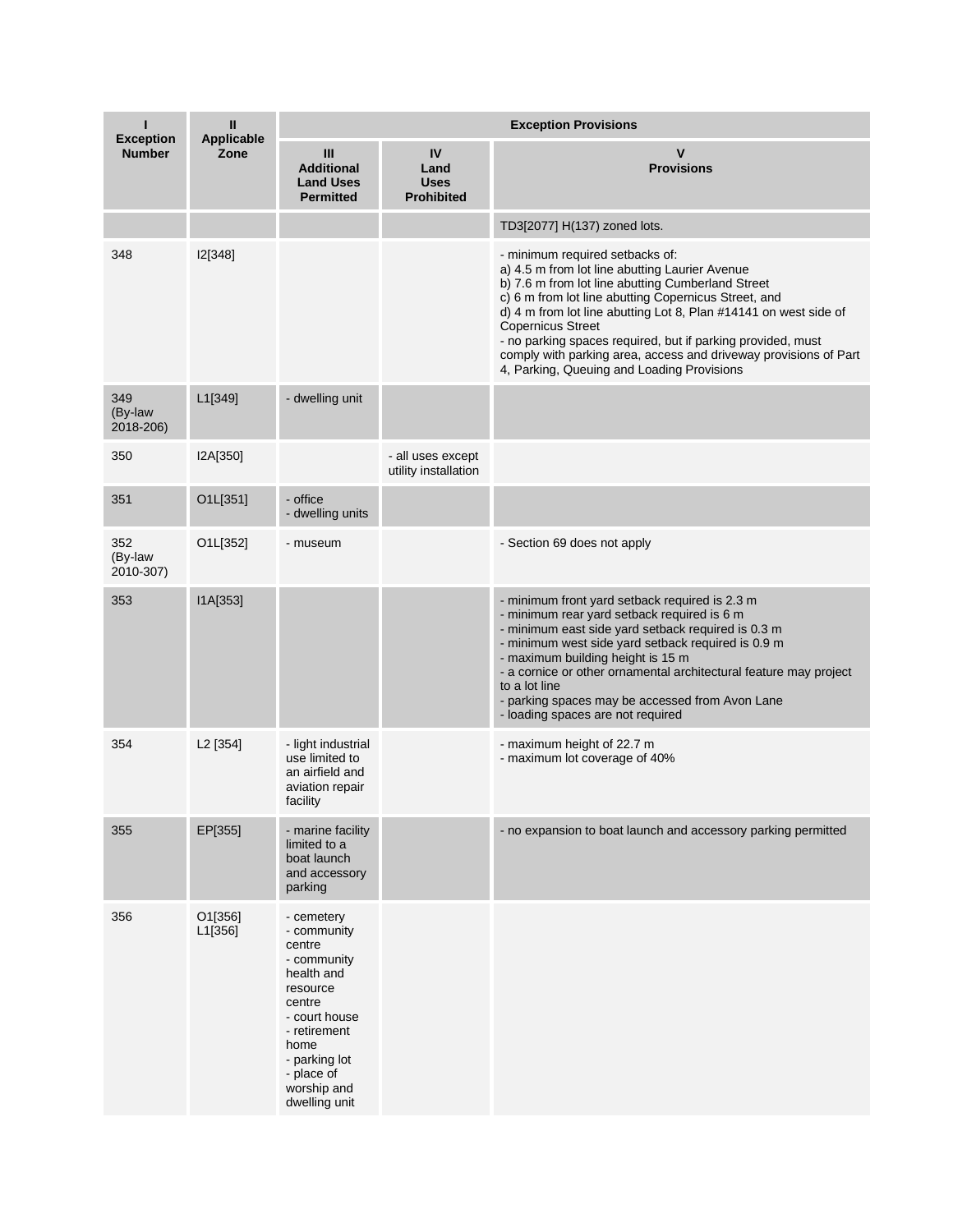| <b>Exception</b>            | Ш<br><b>Applicable</b> | <b>Exception Provisions</b>                                                                                                                                                                    |                                                |                                                                                                                                                                                                                                                                                                                                                                                                                                                                                 |  |  |
|-----------------------------|------------------------|------------------------------------------------------------------------------------------------------------------------------------------------------------------------------------------------|------------------------------------------------|---------------------------------------------------------------------------------------------------------------------------------------------------------------------------------------------------------------------------------------------------------------------------------------------------------------------------------------------------------------------------------------------------------------------------------------------------------------------------------|--|--|
| <b>Number</b>               | Zone                   | III<br><b>Additional</b><br><b>Land Uses</b><br><b>Permitted</b>                                                                                                                               | IV<br>Land<br><b>Uses</b><br><b>Prohibited</b> | $\mathsf{v}$<br><b>Provisions</b>                                                                                                                                                                                                                                                                                                                                                                                                                                               |  |  |
|                             |                        |                                                                                                                                                                                                |                                                | TD3[2077] H(137) zoned lots.                                                                                                                                                                                                                                                                                                                                                                                                                                                    |  |  |
| 348                         | <b>I2[348]</b>         |                                                                                                                                                                                                |                                                | - minimum required setbacks of:<br>a) 4.5 m from lot line abutting Laurier Avenue<br>b) 7.6 m from lot line abutting Cumberland Street<br>c) 6 m from lot line abutting Copernicus Street, and<br>d) 4 m from lot line abutting Lot 8, Plan #14141 on west side of<br><b>Copernicus Street</b><br>- no parking spaces required, but if parking provided, must<br>comply with parking area, access and driveway provisions of Part<br>4, Parking, Queuing and Loading Provisions |  |  |
| 349<br>(By-law<br>2018-206) | L1[349]                | - dwelling unit                                                                                                                                                                                |                                                |                                                                                                                                                                                                                                                                                                                                                                                                                                                                                 |  |  |
| 350                         | I2A[350]               |                                                                                                                                                                                                | - all uses except<br>utility installation      |                                                                                                                                                                                                                                                                                                                                                                                                                                                                                 |  |  |
| 351                         | O1L[351]               | - office<br>- dwelling units                                                                                                                                                                   |                                                |                                                                                                                                                                                                                                                                                                                                                                                                                                                                                 |  |  |
| 352<br>(By-law<br>2010-307) | O1L[352]               | - museum                                                                                                                                                                                       |                                                | - Section 69 does not apply                                                                                                                                                                                                                                                                                                                                                                                                                                                     |  |  |
| 353                         | I1A[353]               |                                                                                                                                                                                                |                                                | - minimum front yard setback required is 2.3 m<br>- minimum rear yard setback required is 6 m<br>- minimum east side yard setback required is 0.3 m<br>- minimum west side yard setback required is 0.9 m<br>- maximum building height is 15 m<br>- a cornice or other ornamental architectural feature may project<br>to a lot line<br>- parking spaces may be accessed from Avon Lane<br>- loading spaces are not required                                                    |  |  |
| 354                         | L <sub>2</sub> [354]   | - light industrial<br>use limited to<br>an airfield and<br>aviation repair<br>facility                                                                                                         |                                                | - maximum height of 22.7 m<br>- maximum lot coverage of 40%                                                                                                                                                                                                                                                                                                                                                                                                                     |  |  |
| 355                         | EP[355]                | - marine facility<br>limited to a<br>boat launch<br>and accessory<br>parking                                                                                                                   |                                                | - no expansion to boat launch and accessory parking permitted                                                                                                                                                                                                                                                                                                                                                                                                                   |  |  |
| 356                         | O1[356]<br>L1[356]     | - cemetery<br>- community<br>centre<br>- community<br>health and<br>resource<br>centre<br>- court house<br>- retirement<br>home<br>- parking lot<br>- place of<br>worship and<br>dwelling unit |                                                |                                                                                                                                                                                                                                                                                                                                                                                                                                                                                 |  |  |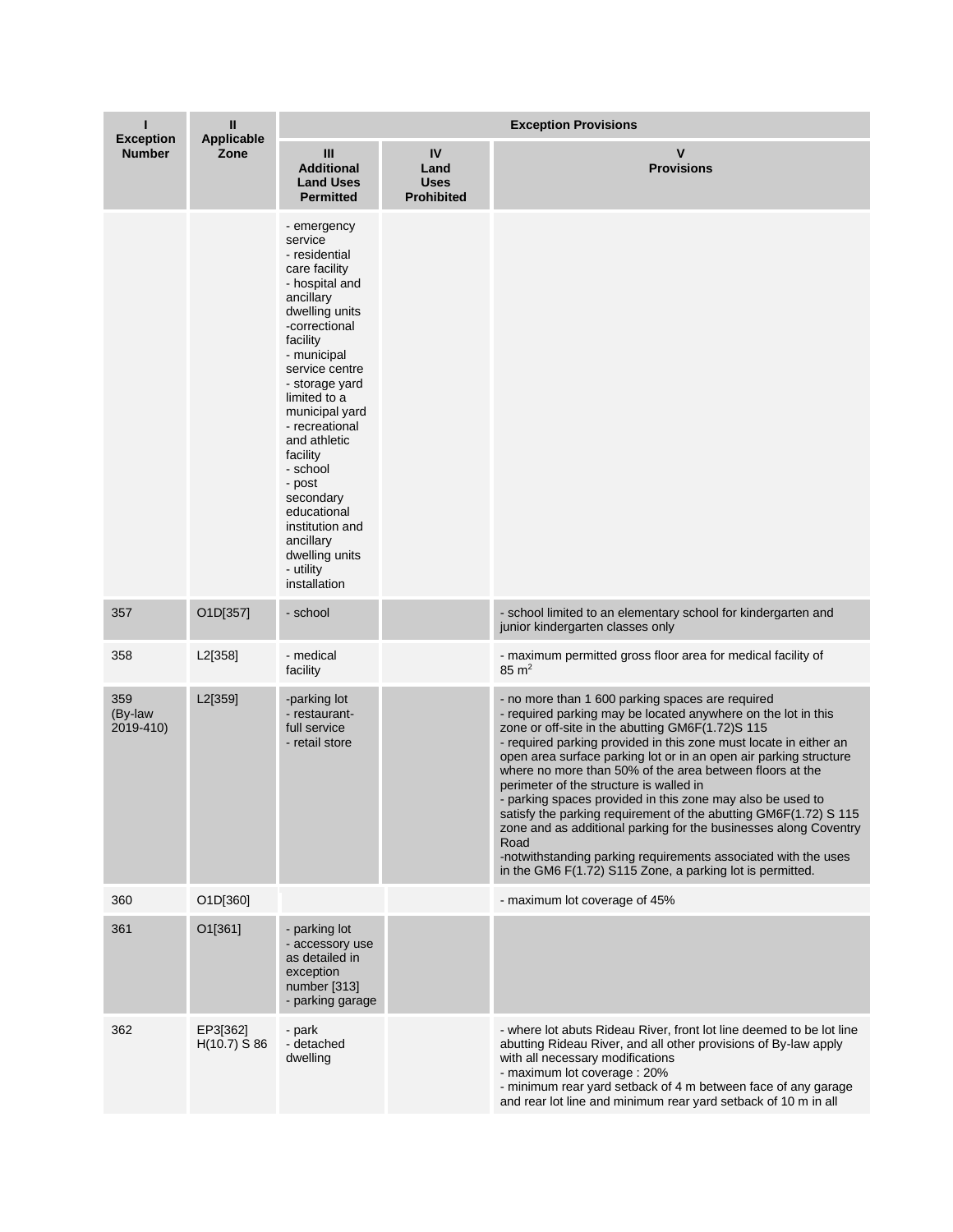| п                                 | $\mathbf{I}$               | <b>Exception Provisions</b>                                                                                                                                                                                                                                                                                                                                                                                |                                                |                                                                                                                                                                                                                                                                                                                                                                                                                                                                                                                                                                                                                                                                                                                                                                     |  |  |
|-----------------------------------|----------------------------|------------------------------------------------------------------------------------------------------------------------------------------------------------------------------------------------------------------------------------------------------------------------------------------------------------------------------------------------------------------------------------------------------------|------------------------------------------------|---------------------------------------------------------------------------------------------------------------------------------------------------------------------------------------------------------------------------------------------------------------------------------------------------------------------------------------------------------------------------------------------------------------------------------------------------------------------------------------------------------------------------------------------------------------------------------------------------------------------------------------------------------------------------------------------------------------------------------------------------------------------|--|--|
| <b>Exception</b><br><b>Number</b> | Applicable<br>Zone         | $\mathbf{III}$<br><b>Additional</b><br><b>Land Uses</b><br><b>Permitted</b>                                                                                                                                                                                                                                                                                                                                | IV<br>Land<br><b>Uses</b><br><b>Prohibited</b> | $\mathsf{V}$<br><b>Provisions</b>                                                                                                                                                                                                                                                                                                                                                                                                                                                                                                                                                                                                                                                                                                                                   |  |  |
|                                   |                            | - emergency<br>service<br>- residential<br>care facility<br>- hospital and<br>ancillary<br>dwelling units<br>-correctional<br>facility<br>- municipal<br>service centre<br>- storage yard<br>limited to a<br>municipal yard<br>- recreational<br>and athletic<br>facility<br>- school<br>- post<br>secondary<br>educational<br>institution and<br>ancillary<br>dwelling units<br>- utility<br>installation |                                                |                                                                                                                                                                                                                                                                                                                                                                                                                                                                                                                                                                                                                                                                                                                                                                     |  |  |
| 357                               | O1D[357]                   | - school                                                                                                                                                                                                                                                                                                                                                                                                   |                                                | - school limited to an elementary school for kindergarten and<br>junior kindergarten classes only                                                                                                                                                                                                                                                                                                                                                                                                                                                                                                                                                                                                                                                                   |  |  |
| 358                               | L2[358]                    | - medical<br>facility                                                                                                                                                                                                                                                                                                                                                                                      |                                                | - maximum permitted gross floor area for medical facility of<br>$85 \text{ m}^2$                                                                                                                                                                                                                                                                                                                                                                                                                                                                                                                                                                                                                                                                                    |  |  |
| 359<br>(By-law<br>2019-410)       | L2[359]                    | -parking lot<br>- restaurant-<br>full service<br>- retail store                                                                                                                                                                                                                                                                                                                                            |                                                | - no more than 1 600 parking spaces are required<br>- required parking may be located anywhere on the lot in this<br>zone or off-site in the abutting GM6F(1.72)S 115<br>- required parking provided in this zone must locate in either an<br>open area surface parking lot or in an open air parking structure<br>where no more than 50% of the area between floors at the<br>perimeter of the structure is walled in<br>- parking spaces provided in this zone may also be used to<br>satisfy the parking requirement of the abutting GM6F(1.72) S 115<br>zone and as additional parking for the businesses along Coventry<br>Road<br>-notwithstanding parking requirements associated with the uses<br>in the GM6 F(1.72) S115 Zone, a parking lot is permitted. |  |  |
| 360                               | O1D[360]                   |                                                                                                                                                                                                                                                                                                                                                                                                            |                                                | - maximum lot coverage of 45%                                                                                                                                                                                                                                                                                                                                                                                                                                                                                                                                                                                                                                                                                                                                       |  |  |
| 361                               | O1[361]                    | - parking lot<br>- accessory use<br>as detailed in<br>exception<br>number [313]<br>- parking garage                                                                                                                                                                                                                                                                                                        |                                                |                                                                                                                                                                                                                                                                                                                                                                                                                                                                                                                                                                                                                                                                                                                                                                     |  |  |
| 362                               | EP3[362]<br>$H(10.7)$ S 86 | - park<br>- detached<br>dwelling                                                                                                                                                                                                                                                                                                                                                                           |                                                | - where lot abuts Rideau River, front lot line deemed to be lot line<br>abutting Rideau River, and all other provisions of By-law apply<br>with all necessary modifications<br>- maximum lot coverage: 20%<br>- minimum rear yard setback of 4 m between face of any garage<br>and rear lot line and minimum rear yard setback of 10 m in all                                                                                                                                                                                                                                                                                                                                                                                                                       |  |  |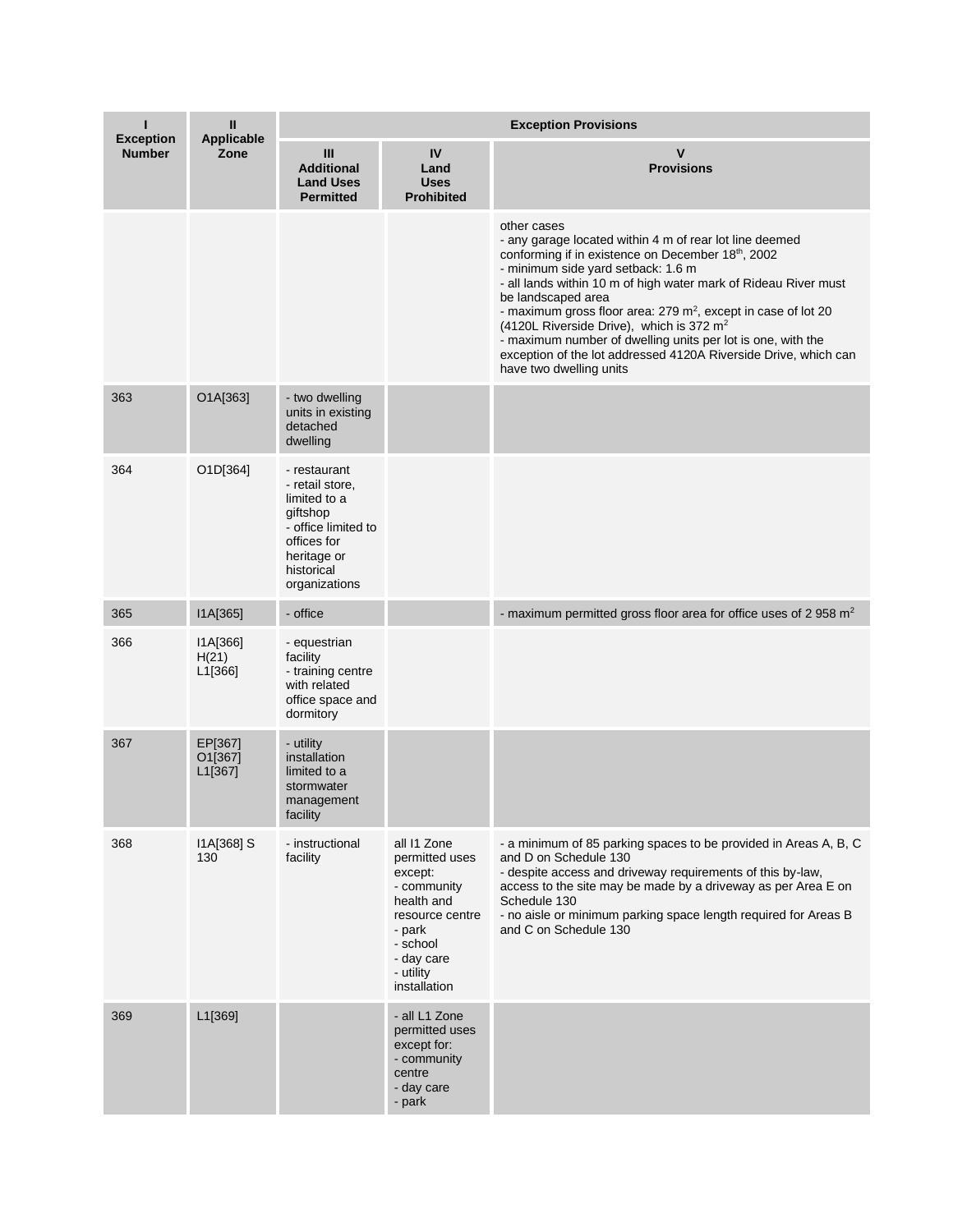| п<br><b>Exception</b> | $\mathbf{H}$<br><b>Applicable</b> | <b>Exception Provisions</b>                                                                                                                     |                                                                                                                                                           |                                                                                                                                                                                                                                                                                                                                                                                                                                                                                                                                                              |  |
|-----------------------|-----------------------------------|-------------------------------------------------------------------------------------------------------------------------------------------------|-----------------------------------------------------------------------------------------------------------------------------------------------------------|--------------------------------------------------------------------------------------------------------------------------------------------------------------------------------------------------------------------------------------------------------------------------------------------------------------------------------------------------------------------------------------------------------------------------------------------------------------------------------------------------------------------------------------------------------------|--|
| <b>Number</b>         | Zone                              | $\mathbf{III}$<br><b>Additional</b><br><b>Land Uses</b><br><b>Permitted</b>                                                                     | IV<br>Land<br><b>Uses</b><br><b>Prohibited</b>                                                                                                            | $\mathsf{v}$<br><b>Provisions</b>                                                                                                                                                                                                                                                                                                                                                                                                                                                                                                                            |  |
|                       |                                   |                                                                                                                                                 |                                                                                                                                                           | other cases<br>- any garage located within 4 m of rear lot line deemed<br>conforming if in existence on December 18th, 2002<br>- minimum side yard setback: 1.6 m<br>- all lands within 10 m of high water mark of Rideau River must<br>be landscaped area<br>- maximum gross floor area: 279 m <sup>2</sup> , except in case of lot 20<br>(4120L Riverside Drive), which is 372 m <sup>2</sup><br>- maximum number of dwelling units per lot is one, with the<br>exception of the lot addressed 4120A Riverside Drive, which can<br>have two dwelling units |  |
| 363                   | O1A[363]                          | - two dwelling<br>units in existing<br>detached<br>dwelling                                                                                     |                                                                                                                                                           |                                                                                                                                                                                                                                                                                                                                                                                                                                                                                                                                                              |  |
| 364                   | O1D[364]                          | - restaurant<br>- retail store,<br>limited to a<br>giftshop<br>- office limited to<br>offices for<br>heritage or<br>historical<br>organizations |                                                                                                                                                           |                                                                                                                                                                                                                                                                                                                                                                                                                                                                                                                                                              |  |
| 365                   | I1A[365]                          | - office                                                                                                                                        |                                                                                                                                                           | - maximum permitted gross floor area for office uses of 2 958 $m2$                                                                                                                                                                                                                                                                                                                                                                                                                                                                                           |  |
| 366                   | I1A[366]<br>H(21)<br>L1[366]      | - equestrian<br>facility<br>- training centre<br>with related<br>office space and<br>dormitory                                                  |                                                                                                                                                           |                                                                                                                                                                                                                                                                                                                                                                                                                                                                                                                                                              |  |
| 367                   | EP[367]<br>O1[367]<br>L1[367]     | - utility<br>installation<br>limited to a<br>stormwater<br>management<br>facility                                                               |                                                                                                                                                           |                                                                                                                                                                                                                                                                                                                                                                                                                                                                                                                                                              |  |
| 368                   | I1A[368] S<br>130                 | - instructional<br>facility                                                                                                                     | all 11 Zone<br>permitted uses<br>except:<br>- community<br>health and<br>resource centre<br>- park<br>- school<br>- day care<br>- utility<br>installation | - a minimum of 85 parking spaces to be provided in Areas A, B, C<br>and D on Schedule 130<br>- despite access and driveway requirements of this by-law,<br>access to the site may be made by a driveway as per Area E on<br>Schedule 130<br>- no aisle or minimum parking space length required for Areas B<br>and C on Schedule 130                                                                                                                                                                                                                         |  |
| 369                   | L1[369]                           |                                                                                                                                                 | - all L1 Zone<br>permitted uses<br>except for:<br>- community<br>centre<br>- day care<br>- park                                                           |                                                                                                                                                                                                                                                                                                                                                                                                                                                                                                                                                              |  |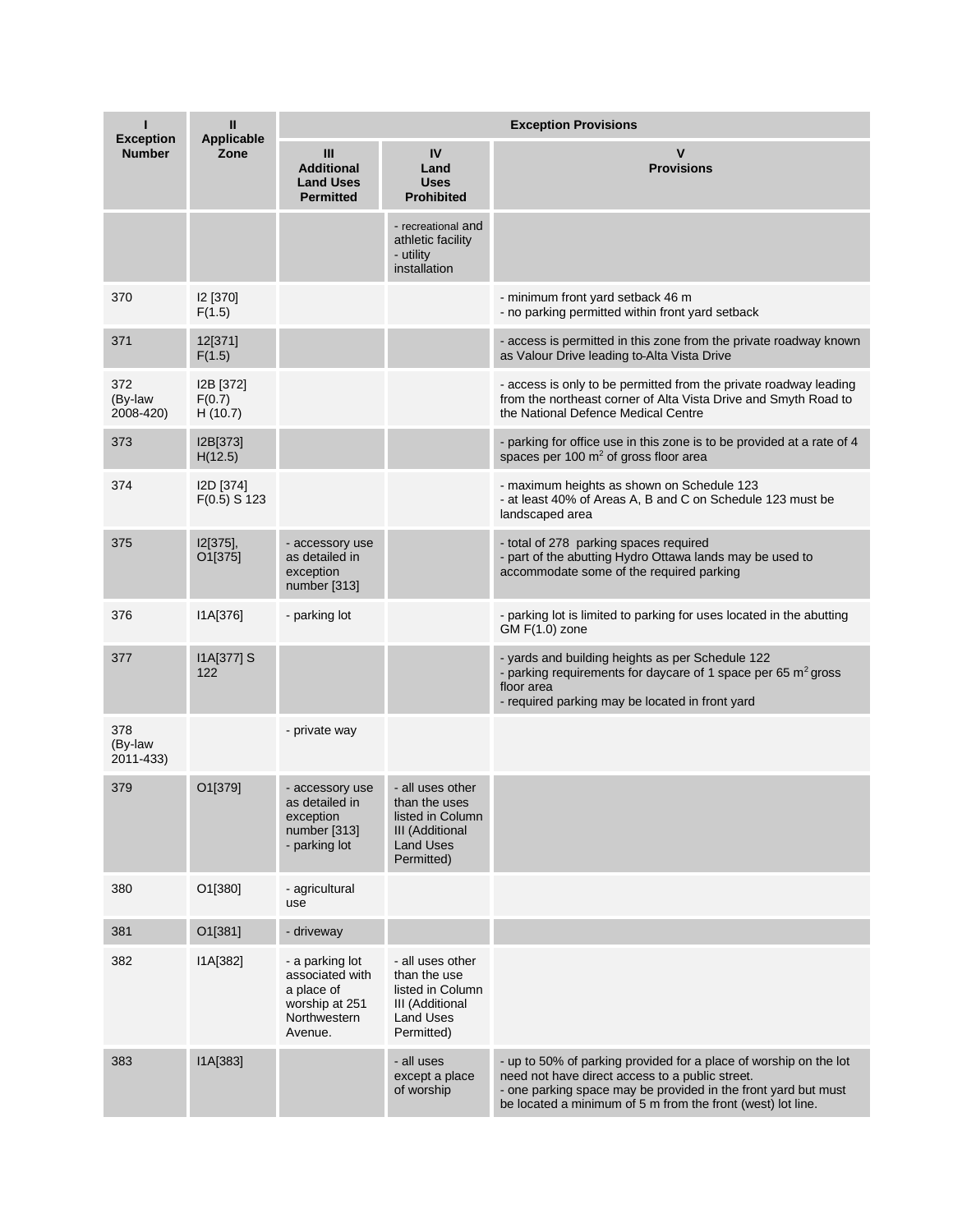| ı<br><b>Exception</b>       | Ш<br><b>Applicable</b>         | <b>Exception Provisions</b>                                                                   |                                                                                                                   |                                                                                                                                                                                                                                                       |  |
|-----------------------------|--------------------------------|-----------------------------------------------------------------------------------------------|-------------------------------------------------------------------------------------------------------------------|-------------------------------------------------------------------------------------------------------------------------------------------------------------------------------------------------------------------------------------------------------|--|
| <b>Number</b>               | Zone                           | Ш<br><b>Additional</b><br><b>Land Uses</b><br><b>Permitted</b>                                | IV<br>Land<br><b>Uses</b><br><b>Prohibited</b>                                                                    | ۷<br><b>Provisions</b>                                                                                                                                                                                                                                |  |
|                             |                                |                                                                                               | - recreational and<br>athletic facility<br>- utility<br>installation                                              |                                                                                                                                                                                                                                                       |  |
| 370                         | I2 [370]<br>F(1.5)             |                                                                                               |                                                                                                                   | - minimum front yard setback 46 m<br>- no parking permitted within front yard setback                                                                                                                                                                 |  |
| 371                         | 12[371]<br>F(1.5)              |                                                                                               |                                                                                                                   | - access is permitted in this zone from the private roadway known<br>as Valour Drive leading to Alta Vista Drive                                                                                                                                      |  |
| 372<br>(By-law<br>2008-420) | I2B [372]<br>F(0.7)<br>H(10.7) |                                                                                               |                                                                                                                   | - access is only to be permitted from the private roadway leading<br>from the northeast corner of Alta Vista Drive and Smyth Road to<br>the National Defence Medical Centre                                                                           |  |
| 373                         | I2B[373]<br>H(12.5)            |                                                                                               |                                                                                                                   | - parking for office use in this zone is to be provided at a rate of 4<br>spaces per 100 m <sup>2</sup> of gross floor area                                                                                                                           |  |
| 374                         | I2D [374]<br>$F(0.5)$ S 123    |                                                                                               |                                                                                                                   | - maximum heights as shown on Schedule 123<br>- at least 40% of Areas A, B and C on Schedule 123 must be<br>landscaped area                                                                                                                           |  |
| 375                         | I2[375],<br>O1[375]            | - accessory use<br>as detailed in<br>exception<br>number [313]                                |                                                                                                                   | - total of 278 parking spaces required<br>- part of the abutting Hydro Ottawa lands may be used to<br>accommodate some of the required parking                                                                                                        |  |
| 376                         | IA[376]                        | - parking lot                                                                                 |                                                                                                                   | - parking lot is limited to parking for uses located in the abutting<br>$GM F(1.0)$ zone                                                                                                                                                              |  |
| 377                         | I1A[377] S<br>122              |                                                                                               |                                                                                                                   | - yards and building heights as per Schedule 122<br>- parking requirements for daycare of 1 space per 65 $m2$ gross<br>floor area<br>- required parking may be located in front yard                                                                  |  |
| 378<br>(By-law<br>2011-433) |                                | - private way                                                                                 |                                                                                                                   |                                                                                                                                                                                                                                                       |  |
| 379                         | O1[379]                        | - accessory use<br>as detailed in<br>exception<br>number [313]<br>- parking lot               | - all uses other<br>than the uses<br>listed in Column<br><b>III</b> (Additional<br><b>Land Uses</b><br>Permitted) |                                                                                                                                                                                                                                                       |  |
| 380                         | O1[380]                        | - agricultural<br>use                                                                         |                                                                                                                   |                                                                                                                                                                                                                                                       |  |
| 381                         | O1[381]                        | - driveway                                                                                    |                                                                                                                   |                                                                                                                                                                                                                                                       |  |
| 382                         | I1A[382]                       | - a parking lot<br>associated with<br>a place of<br>worship at 251<br>Northwestern<br>Avenue. | - all uses other<br>than the use<br>listed in Column<br>III (Additional<br><b>Land Uses</b><br>Permitted)         |                                                                                                                                                                                                                                                       |  |
| 383                         | I1A[383]                       |                                                                                               | - all uses<br>except a place<br>of worship                                                                        | - up to 50% of parking provided for a place of worship on the lot<br>need not have direct access to a public street.<br>- one parking space may be provided in the front yard but must<br>be located a minimum of 5 m from the front (west) lot line. |  |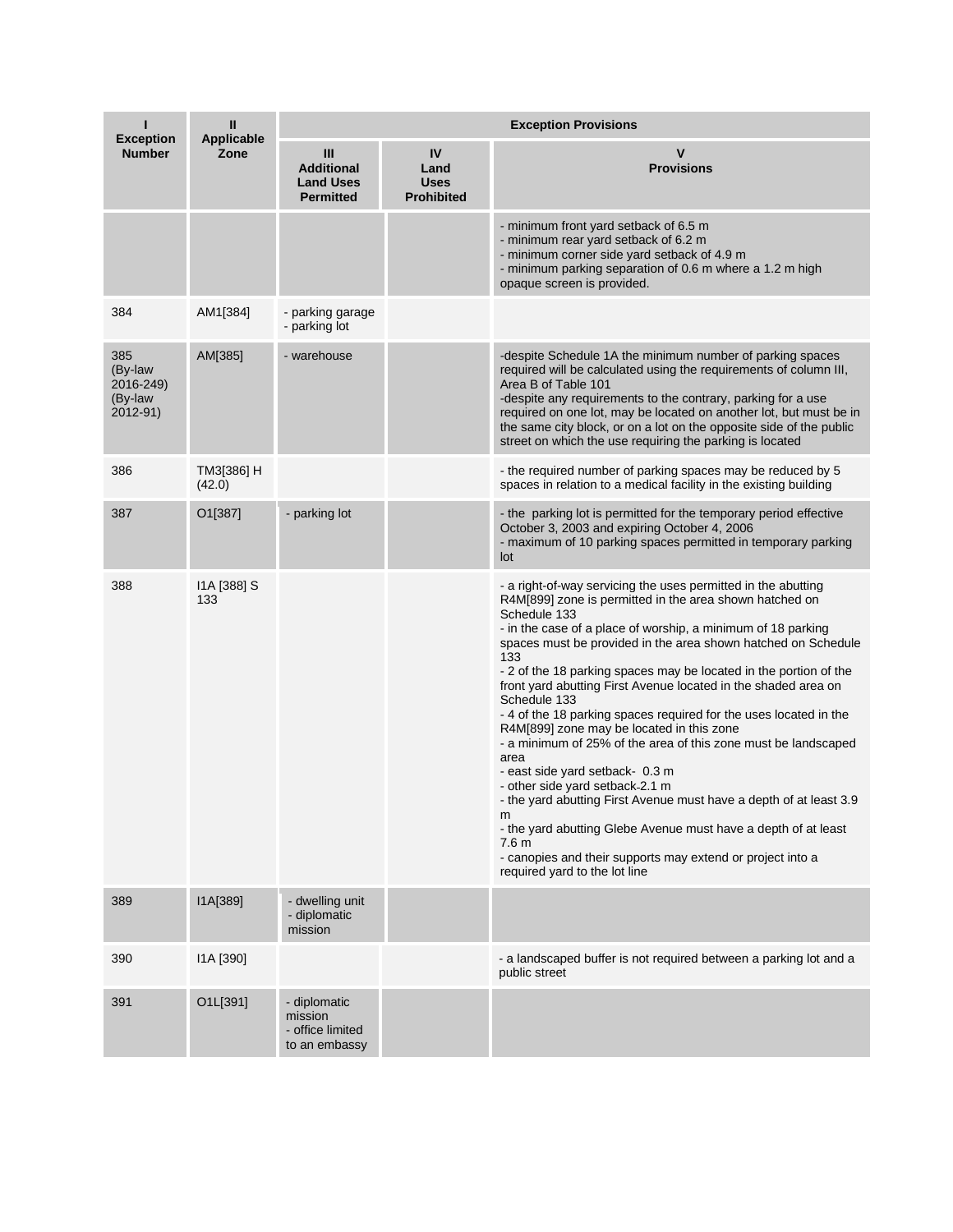| <b>Exception</b>                                   | Ш<br><b>Applicable</b> | <b>Exception Provisions</b>                                    |                                                |                                                                                                                                                                                                                                                                                                                                                                                                                                                                                                                                                                                                                                                                                                                                                                                                                                                                                                                                                                          |  |  |
|----------------------------------------------------|------------------------|----------------------------------------------------------------|------------------------------------------------|--------------------------------------------------------------------------------------------------------------------------------------------------------------------------------------------------------------------------------------------------------------------------------------------------------------------------------------------------------------------------------------------------------------------------------------------------------------------------------------------------------------------------------------------------------------------------------------------------------------------------------------------------------------------------------------------------------------------------------------------------------------------------------------------------------------------------------------------------------------------------------------------------------------------------------------------------------------------------|--|--|
| <b>Number</b>                                      | Zone                   | Ш<br><b>Additional</b><br><b>Land Uses</b><br><b>Permitted</b> | IV<br>Land<br><b>Uses</b><br><b>Prohibited</b> | $\mathsf{v}$<br><b>Provisions</b>                                                                                                                                                                                                                                                                                                                                                                                                                                                                                                                                                                                                                                                                                                                                                                                                                                                                                                                                        |  |  |
|                                                    |                        |                                                                |                                                | - minimum front yard setback of 6.5 m<br>- minimum rear yard setback of 6.2 m<br>- minimum corner side yard setback of 4.9 m<br>- minimum parking separation of 0.6 m where a 1.2 m high<br>opaque screen is provided.                                                                                                                                                                                                                                                                                                                                                                                                                                                                                                                                                                                                                                                                                                                                                   |  |  |
| 384                                                | AM1[384]               | - parking garage<br>- parking lot                              |                                                |                                                                                                                                                                                                                                                                                                                                                                                                                                                                                                                                                                                                                                                                                                                                                                                                                                                                                                                                                                          |  |  |
| 385<br>(By-law<br>2016-249)<br>(By-law<br>2012-91) | AM[385]                | - warehouse                                                    |                                                | -despite Schedule 1A the minimum number of parking spaces<br>required will be calculated using the requirements of column III,<br>Area B of Table 101<br>-despite any requirements to the contrary, parking for a use<br>required on one lot, may be located on another lot, but must be in<br>the same city block, or on a lot on the opposite side of the public<br>street on which the use requiring the parking is located                                                                                                                                                                                                                                                                                                                                                                                                                                                                                                                                           |  |  |
| 386                                                | TM3[386] H<br>(42.0)   |                                                                |                                                | - the required number of parking spaces may be reduced by 5<br>spaces in relation to a medical facility in the existing building                                                                                                                                                                                                                                                                                                                                                                                                                                                                                                                                                                                                                                                                                                                                                                                                                                         |  |  |
| 387                                                | O1[387]                | - parking lot                                                  |                                                | - the parking lot is permitted for the temporary period effective<br>October 3, 2003 and expiring October 4, 2006<br>- maximum of 10 parking spaces permitted in temporary parking<br>lot                                                                                                                                                                                                                                                                                                                                                                                                                                                                                                                                                                                                                                                                                                                                                                                |  |  |
| 388                                                | 11A [388] S<br>133     |                                                                |                                                | - a right-of-way servicing the uses permitted in the abutting<br>R4M[899] zone is permitted in the area shown hatched on<br>Schedule 133<br>- in the case of a place of worship, a minimum of 18 parking<br>spaces must be provided in the area shown hatched on Schedule<br>133<br>- 2 of the 18 parking spaces may be located in the portion of the<br>front yard abutting First Avenue located in the shaded area on<br>Schedule 133<br>-4 of the 18 parking spaces required for the uses located in the<br>R4M[899] zone may be located in this zone<br>- a minimum of 25% of the area of this zone must be landscaped<br>area<br>- east side yard setback- 0.3 m<br>- other side yard setback-2.1 m<br>- the yard abutting First Avenue must have a depth of at least 3.9<br>m<br>- the yard abutting Glebe Avenue must have a depth of at least<br>7.6 <sub>m</sub><br>- canopies and their supports may extend or project into a<br>required yard to the lot line |  |  |
| 389                                                | I1A[389]               | - dwelling unit<br>- diplomatic<br>mission                     |                                                |                                                                                                                                                                                                                                                                                                                                                                                                                                                                                                                                                                                                                                                                                                                                                                                                                                                                                                                                                                          |  |  |
| 390                                                | I1A [390]              |                                                                |                                                | - a landscaped buffer is not required between a parking lot and a<br>public street                                                                                                                                                                                                                                                                                                                                                                                                                                                                                                                                                                                                                                                                                                                                                                                                                                                                                       |  |  |
| 391                                                | O1L[391]               | - diplomatic<br>mission<br>- office limited<br>to an embassy   |                                                |                                                                                                                                                                                                                                                                                                                                                                                                                                                                                                                                                                                                                                                                                                                                                                                                                                                                                                                                                                          |  |  |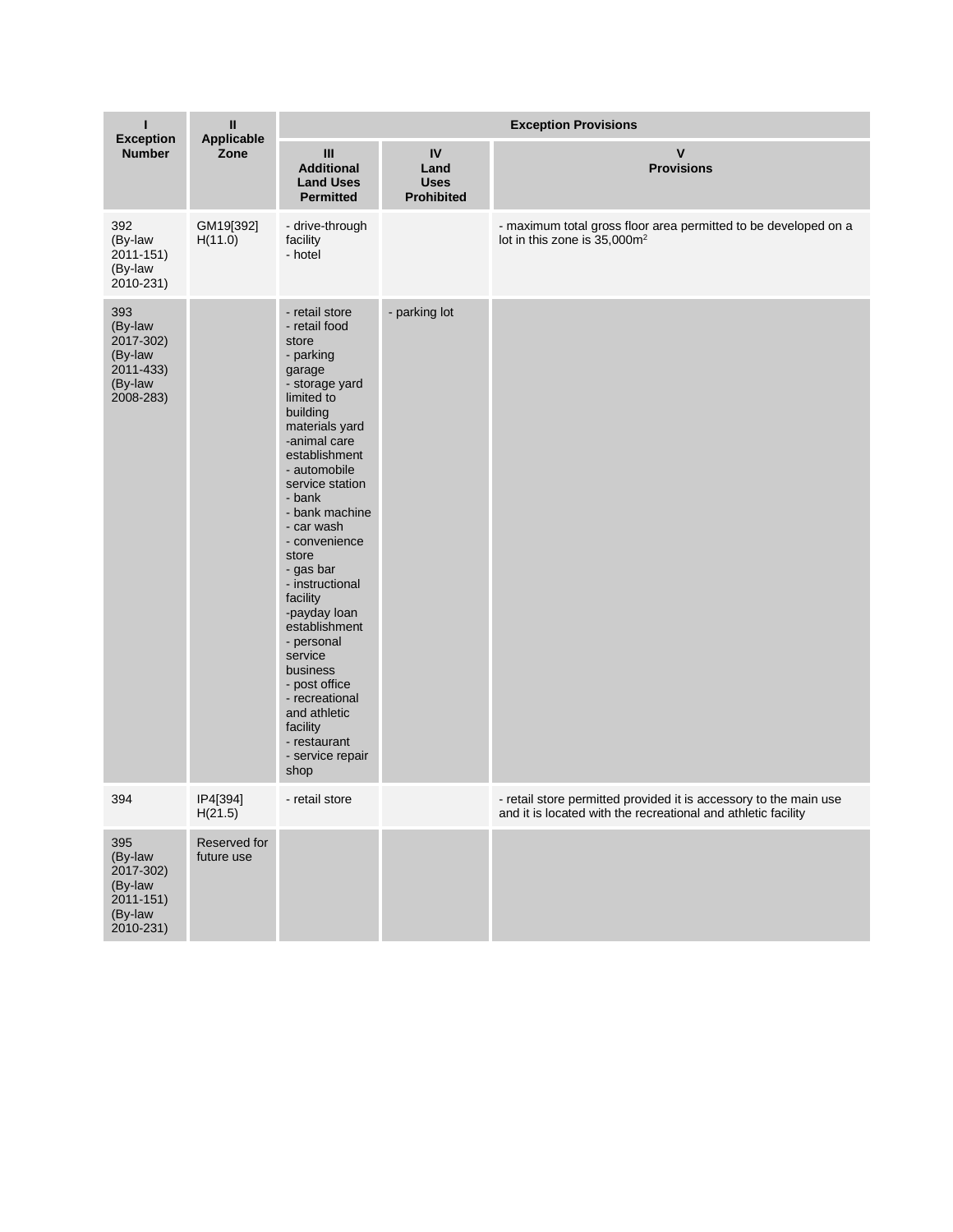| L<br><b>Exception</b><br><b>Number</b>                                         | $\mathsf{I}\mathsf{I}$<br>Applicable<br>Zone | <b>Exception Provisions</b>                                                                                                                                                                                                                                                                                                                                                                                                                                                                        |                                                |                                                                                                                                    |  |
|--------------------------------------------------------------------------------|----------------------------------------------|----------------------------------------------------------------------------------------------------------------------------------------------------------------------------------------------------------------------------------------------------------------------------------------------------------------------------------------------------------------------------------------------------------------------------------------------------------------------------------------------------|------------------------------------------------|------------------------------------------------------------------------------------------------------------------------------------|--|
|                                                                                |                                              | Ш<br><b>Additional</b><br><b>Land Uses</b><br><b>Permitted</b>                                                                                                                                                                                                                                                                                                                                                                                                                                     | IV<br>Land<br><b>Uses</b><br><b>Prohibited</b> | $\mathsf{v}$<br><b>Provisions</b>                                                                                                  |  |
| 392<br>(By-law<br>$2011 - 151$<br>(By-law<br>2010-231)                         | GM19[392]<br>H(11.0)                         | - drive-through<br>facility<br>- hotel                                                                                                                                                                                                                                                                                                                                                                                                                                                             |                                                | - maximum total gross floor area permitted to be developed on a<br>lot in this zone is 35,000m <sup>2</sup>                        |  |
| 393<br>(By-law<br>2017-302)<br>(By-law<br>2011-433)<br>(By-law<br>2008-283)    |                                              | - retail store<br>- retail food<br>store<br>- parking<br>garage<br>- storage yard<br>limited to<br>building<br>materials yard<br>-animal care<br>establishment<br>- automobile<br>service station<br>- bank<br>- bank machine<br>- car wash<br>- convenience<br>store<br>- gas bar<br>- instructional<br>facility<br>-payday loan<br>establishment<br>- personal<br>service<br>business<br>- post office<br>- recreational<br>and athletic<br>facility<br>- restaurant<br>- service repair<br>shop | - parking lot                                  |                                                                                                                                    |  |
| 394                                                                            | IP4[394]<br>H(21.5)                          | - retail store                                                                                                                                                                                                                                                                                                                                                                                                                                                                                     |                                                | - retail store permitted provided it is accessory to the main use<br>and it is located with the recreational and athletic facility |  |
| 395<br>(By-law<br>2017-302)<br>(By-law<br>$2011 - 151$<br>(By-law<br>2010-231) | Reserved for<br>future use                   |                                                                                                                                                                                                                                                                                                                                                                                                                                                                                                    |                                                |                                                                                                                                    |  |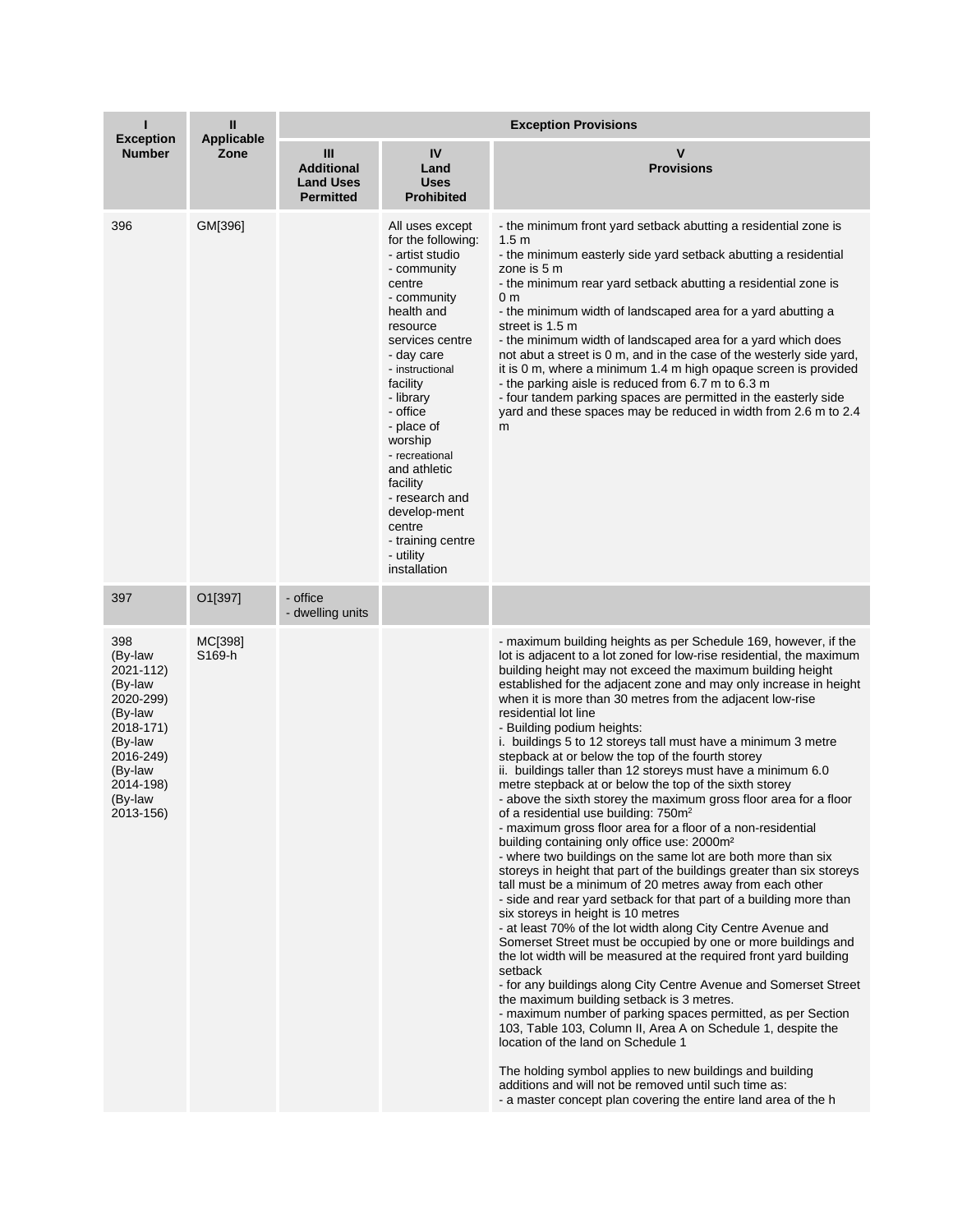|                                                                                                                                                     | Ш<br><b>Applicable</b><br>Zone | <b>Exception Provisions</b>                                    |                                                                                                                                                                                                                                                                                                                                                                                          |                                                                                                                                                                                                                                                                                                                                                                                                                                                                                                                                                                                                                                                                                                                                                                                                                                                                                                                                                                                                                                                                                                                                                                                                                                                                                                                                                                                                                                                                                                                                                                                                                                                                                                                                                                                                                                                                                                                   |  |
|-----------------------------------------------------------------------------------------------------------------------------------------------------|--------------------------------|----------------------------------------------------------------|------------------------------------------------------------------------------------------------------------------------------------------------------------------------------------------------------------------------------------------------------------------------------------------------------------------------------------------------------------------------------------------|-------------------------------------------------------------------------------------------------------------------------------------------------------------------------------------------------------------------------------------------------------------------------------------------------------------------------------------------------------------------------------------------------------------------------------------------------------------------------------------------------------------------------------------------------------------------------------------------------------------------------------------------------------------------------------------------------------------------------------------------------------------------------------------------------------------------------------------------------------------------------------------------------------------------------------------------------------------------------------------------------------------------------------------------------------------------------------------------------------------------------------------------------------------------------------------------------------------------------------------------------------------------------------------------------------------------------------------------------------------------------------------------------------------------------------------------------------------------------------------------------------------------------------------------------------------------------------------------------------------------------------------------------------------------------------------------------------------------------------------------------------------------------------------------------------------------------------------------------------------------------------------------------------------------|--|
| <b>Exception</b><br><b>Number</b>                                                                                                                   |                                | Ш<br><b>Additional</b><br><b>Land Uses</b><br><b>Permitted</b> | IV<br>Land<br><b>Uses</b><br><b>Prohibited</b>                                                                                                                                                                                                                                                                                                                                           | V<br><b>Provisions</b>                                                                                                                                                                                                                                                                                                                                                                                                                                                                                                                                                                                                                                                                                                                                                                                                                                                                                                                                                                                                                                                                                                                                                                                                                                                                                                                                                                                                                                                                                                                                                                                                                                                                                                                                                                                                                                                                                            |  |
| 396                                                                                                                                                 | GM[396]                        |                                                                | All uses except<br>for the following:<br>- artist studio<br>- community<br>centre<br>- community<br>health and<br>resource<br>services centre<br>- day care<br>- instructional<br>facility<br>- library<br>- office<br>- place of<br>worship<br>- recreational<br>and athletic<br>facility<br>- research and<br>develop-ment<br>centre<br>- training centre<br>- utility<br>installation | - the minimum front yard setback abutting a residential zone is<br>1.5 <sub>m</sub><br>- the minimum easterly side yard setback abutting a residential<br>zone is 5 m<br>- the minimum rear yard setback abutting a residential zone is<br>0 <sub>m</sub><br>- the minimum width of landscaped area for a yard abutting a<br>street is 1.5 m<br>- the minimum width of landscaped area for a yard which does<br>not abut a street is 0 m, and in the case of the westerly side yard,<br>it is 0 m, where a minimum 1.4 m high opaque screen is provided<br>- the parking aisle is reduced from 6.7 m to 6.3 m<br>- four tandem parking spaces are permitted in the easterly side<br>yard and these spaces may be reduced in width from 2.6 m to 2.4<br>m                                                                                                                                                                                                                                                                                                                                                                                                                                                                                                                                                                                                                                                                                                                                                                                                                                                                                                                                                                                                                                                                                                                                                          |  |
| 397                                                                                                                                                 | O1[397]                        | - office<br>- dwelling units                                   |                                                                                                                                                                                                                                                                                                                                                                                          |                                                                                                                                                                                                                                                                                                                                                                                                                                                                                                                                                                                                                                                                                                                                                                                                                                                                                                                                                                                                                                                                                                                                                                                                                                                                                                                                                                                                                                                                                                                                                                                                                                                                                                                                                                                                                                                                                                                   |  |
| 398<br>(By-law<br>2021-112)<br>(By-law<br>2020-299)<br>(By-law<br>2018-171)<br>(By-law<br>2016-249)<br>(By-law<br>2014-198)<br>(By-law<br>2013-156) | MC[398]<br>S169-h              |                                                                |                                                                                                                                                                                                                                                                                                                                                                                          | - maximum building heights as per Schedule 169, however, if the<br>lot is adjacent to a lot zoned for low-rise residential, the maximum<br>building height may not exceed the maximum building height<br>established for the adjacent zone and may only increase in height<br>when it is more than 30 metres from the adjacent low-rise<br>residential lot line<br>- Building podium heights:<br>i. buildings 5 to 12 storeys tall must have a minimum 3 metre<br>stepback at or below the top of the fourth storey<br>ii. buildings taller than 12 storeys must have a minimum 6.0<br>metre stepback at or below the top of the sixth storey<br>- above the sixth storey the maximum gross floor area for a floor<br>of a residential use building: 750m <sup>2</sup><br>- maximum gross floor area for a floor of a non-residential<br>building containing only office use: 2000m <sup>2</sup><br>- where two buildings on the same lot are both more than six<br>storeys in height that part of the buildings greater than six storeys<br>tall must be a minimum of 20 metres away from each other<br>- side and rear yard setback for that part of a building more than<br>six storeys in height is 10 metres<br>- at least 70% of the lot width along City Centre Avenue and<br>Somerset Street must be occupied by one or more buildings and<br>the lot width will be measured at the required front yard building<br>setback<br>- for any buildings along City Centre Avenue and Somerset Street<br>the maximum building setback is 3 metres.<br>- maximum number of parking spaces permitted, as per Section<br>103, Table 103, Column II, Area A on Schedule 1, despite the<br>location of the land on Schedule 1<br>The holding symbol applies to new buildings and building<br>additions and will not be removed until such time as:<br>- a master concept plan covering the entire land area of the h |  |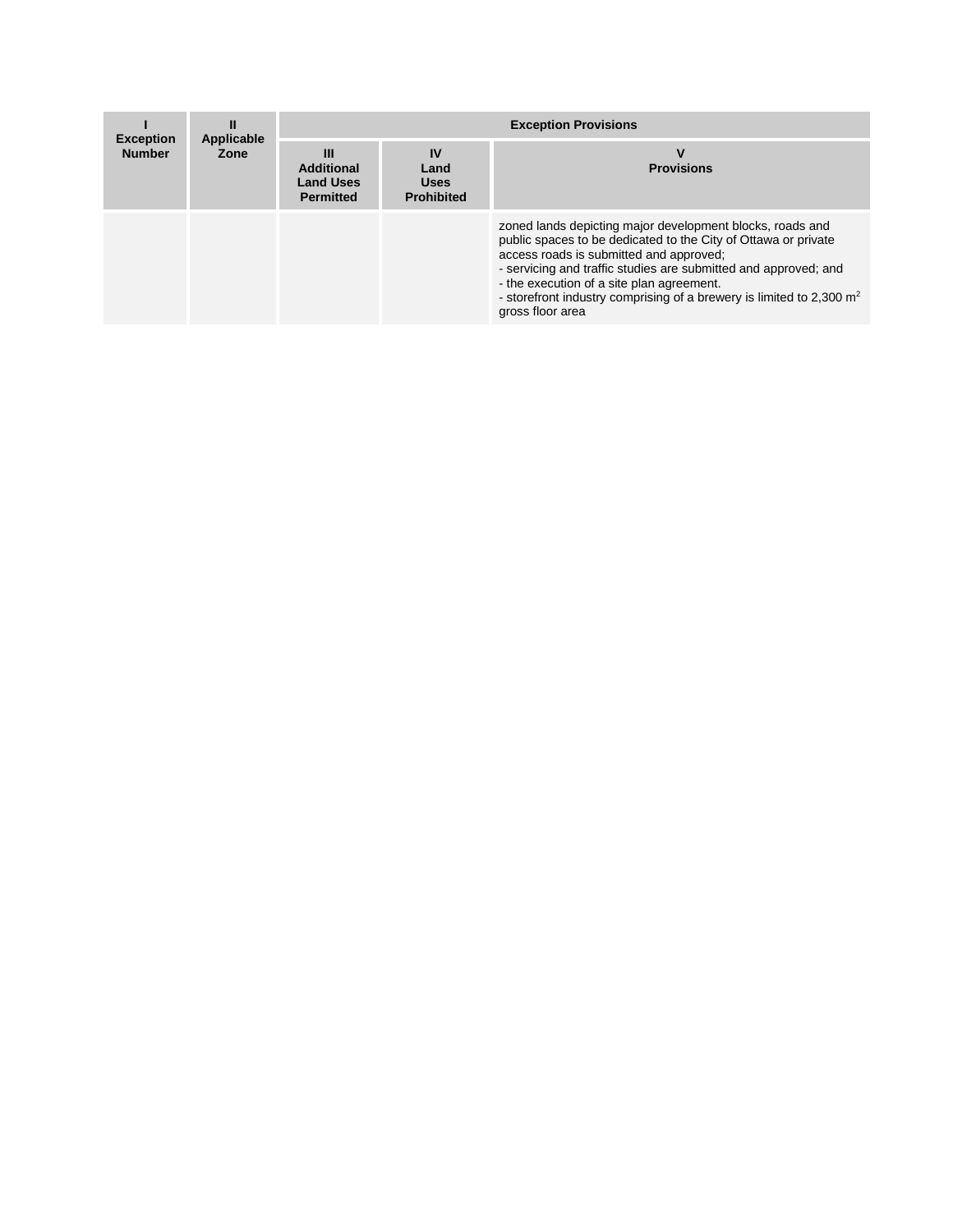| <b>Exception</b><br><b>Number</b> | Ш<br>Applicable<br>Zone | <b>Exception Provisions</b>                                    |                                                |                                                                                                                                                                                                                                                                                                                                                                                      |  |
|-----------------------------------|-------------------------|----------------------------------------------------------------|------------------------------------------------|--------------------------------------------------------------------------------------------------------------------------------------------------------------------------------------------------------------------------------------------------------------------------------------------------------------------------------------------------------------------------------------|--|
|                                   |                         | Ш<br><b>Additional</b><br><b>Land Uses</b><br><b>Permitted</b> | IV<br>Land<br><b>Uses</b><br><b>Prohibited</b> | <b>Provisions</b>                                                                                                                                                                                                                                                                                                                                                                    |  |
|                                   |                         |                                                                |                                                | zoned lands depicting major development blocks, roads and<br>public spaces to be dedicated to the City of Ottawa or private<br>access roads is submitted and approved;<br>- servicing and traffic studies are submitted and approved; and<br>- the execution of a site plan agreement.<br>- storefront industry comprising of a brewery is limited to 2,300 $m2$<br>gross floor area |  |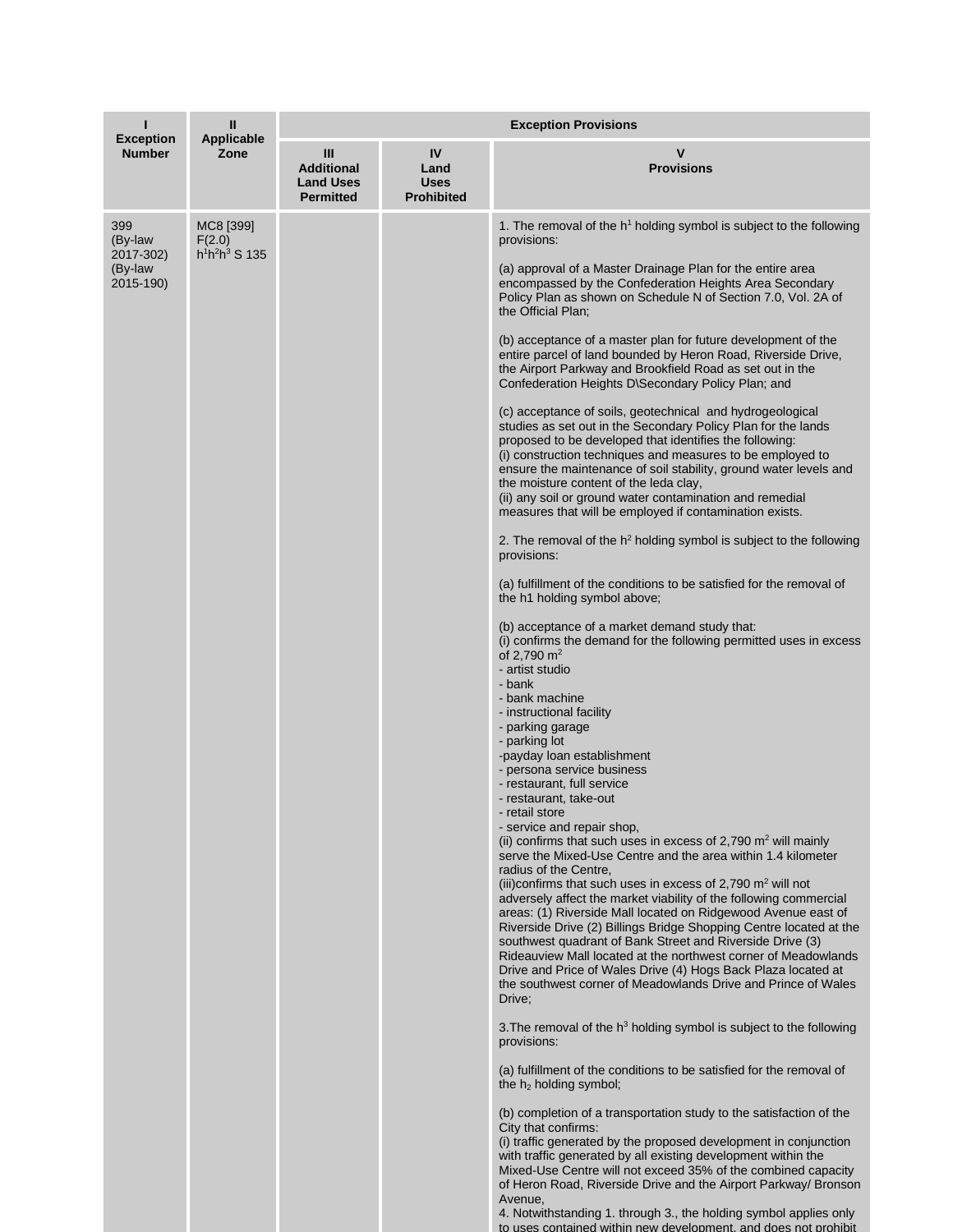|                                                     | Ш<br><b>Applicable</b><br>Zone           | <b>Exception Provisions</b>                                    |                                                |                                                                                                                                                                                                                                                                                                                                                                                                                                                                                                                                                                                                                                                                                                                                                                                                                                                                                                                                                                                                                                                                                                                                                                                                                                                                                                                                                                                                                                                                                                                                                                                                                                                                                                                                                                                                                                                                                                                                                                                                                                                                                                                                                                                                                                                                                                                                                                                                                                                                                                                                                                                                                                                                                                                                                                                                                                                                                                                                                                                                                                                                                                                                           |  |
|-----------------------------------------------------|------------------------------------------|----------------------------------------------------------------|------------------------------------------------|-------------------------------------------------------------------------------------------------------------------------------------------------------------------------------------------------------------------------------------------------------------------------------------------------------------------------------------------------------------------------------------------------------------------------------------------------------------------------------------------------------------------------------------------------------------------------------------------------------------------------------------------------------------------------------------------------------------------------------------------------------------------------------------------------------------------------------------------------------------------------------------------------------------------------------------------------------------------------------------------------------------------------------------------------------------------------------------------------------------------------------------------------------------------------------------------------------------------------------------------------------------------------------------------------------------------------------------------------------------------------------------------------------------------------------------------------------------------------------------------------------------------------------------------------------------------------------------------------------------------------------------------------------------------------------------------------------------------------------------------------------------------------------------------------------------------------------------------------------------------------------------------------------------------------------------------------------------------------------------------------------------------------------------------------------------------------------------------------------------------------------------------------------------------------------------------------------------------------------------------------------------------------------------------------------------------------------------------------------------------------------------------------------------------------------------------------------------------------------------------------------------------------------------------------------------------------------------------------------------------------------------------------------------------------------------------------------------------------------------------------------------------------------------------------------------------------------------------------------------------------------------------------------------------------------------------------------------------------------------------------------------------------------------------------------------------------------------------------------------------------------------------|--|
| <b>Exception</b><br><b>Number</b>                   |                                          | Ш<br><b>Additional</b><br><b>Land Uses</b><br><b>Permitted</b> | IV<br>Land<br><b>Uses</b><br><b>Prohibited</b> | v<br><b>Provisions</b>                                                                                                                                                                                                                                                                                                                                                                                                                                                                                                                                                                                                                                                                                                                                                                                                                                                                                                                                                                                                                                                                                                                                                                                                                                                                                                                                                                                                                                                                                                                                                                                                                                                                                                                                                                                                                                                                                                                                                                                                                                                                                                                                                                                                                                                                                                                                                                                                                                                                                                                                                                                                                                                                                                                                                                                                                                                                                                                                                                                                                                                                                                                    |  |
| 399<br>(By-law<br>2017-302)<br>(By-law<br>2015-190) | MC8 [399]<br>F(2.0)<br>$h^1h^2h^3$ S 135 |                                                                |                                                | 1. The removal of the h <sup>1</sup> holding symbol is subject to the following<br>provisions:<br>(a) approval of a Master Drainage Plan for the entire area<br>encompassed by the Confederation Heights Area Secondary<br>Policy Plan as shown on Schedule N of Section 7.0, Vol. 2A of<br>the Official Plan;<br>(b) acceptance of a master plan for future development of the<br>entire parcel of land bounded by Heron Road, Riverside Drive,<br>the Airport Parkway and Brookfield Road as set out in the<br>Confederation Heights D\Secondary Policy Plan; and<br>(c) acceptance of soils, geotechnical and hydrogeological<br>studies as set out in the Secondary Policy Plan for the lands<br>proposed to be developed that identifies the following:<br>(i) construction techniques and measures to be employed to<br>ensure the maintenance of soil stability, ground water levels and<br>the moisture content of the leda clay,<br>(ii) any soil or ground water contamination and remedial<br>measures that will be employed if contamination exists.<br>2. The removal of the $h^2$ holding symbol is subject to the following<br>provisions:<br>(a) fulfillment of the conditions to be satisfied for the removal of<br>the h1 holding symbol above;<br>(b) acceptance of a market demand study that:<br>(i) confirms the demand for the following permitted uses in excess<br>of 2.790 $m2$<br>- artist studio<br>- bank<br>- bank machine<br>- instructional facility<br>- parking garage<br>- parking lot<br>-payday loan establishment<br>- persona service business<br>- restaurant, full service<br>- restaurant, take-out<br>- retail store<br>- service and repair shop,<br>(ii) confirms that such uses in excess of 2,790 $m2$ will mainly<br>serve the Mixed-Use Centre and the area within 1.4 kilometer<br>radius of the Centre,<br>(iii)confirms that such uses in excess of 2,790 $m2$ will not<br>adversely affect the market viability of the following commercial<br>areas: (1) Riverside Mall located on Ridgewood Avenue east of<br>Riverside Drive (2) Billings Bridge Shopping Centre located at the<br>southwest quadrant of Bank Street and Riverside Drive (3)<br>Rideauview Mall located at the northwest corner of Meadowlands<br>Drive and Price of Wales Drive (4) Hogs Back Plaza located at<br>the southwest corner of Meadowlands Drive and Prince of Wales<br>Drive;<br>3. The removal of the $h3$ holding symbol is subject to the following<br>provisions:<br>(a) fulfillment of the conditions to be satisfied for the removal of<br>the $h_2$ holding symbol;<br>(b) completion of a transportation study to the satisfaction of the<br>City that confirms:<br>(i) traffic generated by the proposed development in conjunction<br>with traffic generated by all existing development within the<br>Mixed-Use Centre will not exceed 35% of the combined capacity<br>of Heron Road, Riverside Drive and the Airport Parkway/ Bronson<br>Avenue,<br>4. Notwithstanding 1. through 3., the holding symbol applies only<br>to uses contained within new development, and does not prohibit |  |